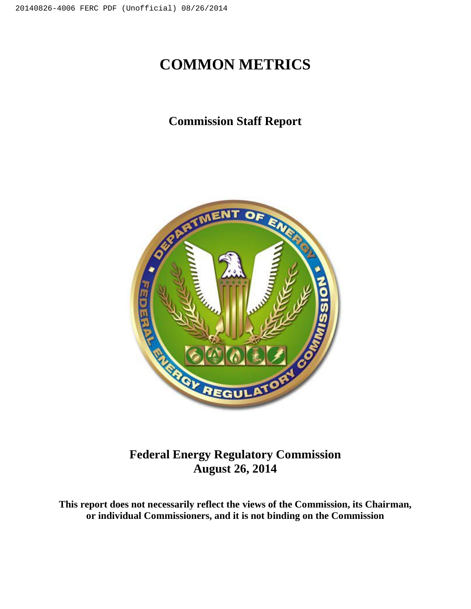# **COMMON METRICS**

## **Commission Staff Report**



**Federal Energy Regulatory Commission August 26, 2014**

**This report does not necessarily reflect the views of the Commission, its Chairman, or individual Commissioners, and it is not binding on the Commission**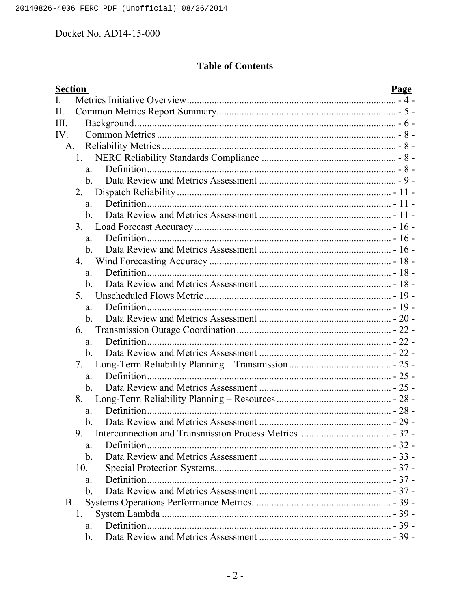## **Table of Contents**

| <b>Section</b> |                | Page |
|----------------|----------------|------|
| I.             |                |      |
| П.             |                |      |
| III.           |                |      |
| IV             |                |      |
|                | A.             |      |
|                | 1.             |      |
|                | a.             |      |
|                | $\mathbf{b}$ . |      |
|                | $2_{\cdot}$    |      |
|                | a.             |      |
|                | b.             |      |
|                | $3_{-}$        |      |
|                | a.             |      |
|                | $\mathbf{b}$ . |      |
|                | 4.             |      |
|                | a.             |      |
|                | b.             |      |
|                | 5.             |      |
|                | a.             |      |
|                | $\mathbf{b}$ . |      |
|                | 6.             |      |
|                | a.             |      |
|                | $b_{\cdot}$    |      |
|                | 7.             |      |
|                | a.             |      |
|                | $\mathbf{b}$ . |      |
|                | 8.             |      |
|                | a.             |      |
|                | b.             |      |
|                | 9              |      |
|                | a.             |      |
|                | $\mathbf b$ .  |      |
|                | 10.            |      |
|                | a.             |      |
|                | $\mathbf{b}$ . |      |
| <b>B.</b>      |                |      |
|                | 1.             |      |
|                | a.             |      |
|                | $b_{\cdot}$    |      |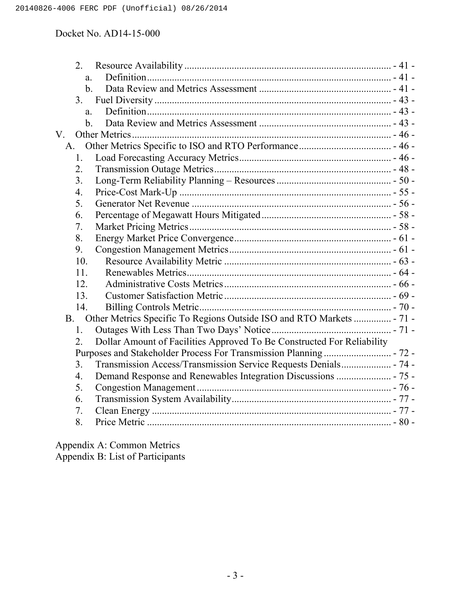|             | 2.               |                                                                        |  |
|-------------|------------------|------------------------------------------------------------------------|--|
|             | a.               |                                                                        |  |
|             | $\mathbf{b}$ .   |                                                                        |  |
|             | 3.               |                                                                        |  |
|             | a.               |                                                                        |  |
|             | $\mathbf{b}$ .   |                                                                        |  |
| $V_{\cdot}$ |                  |                                                                        |  |
|             | A.               |                                                                        |  |
|             | 1.               |                                                                        |  |
|             | 2.               |                                                                        |  |
|             | 3.               |                                                                        |  |
|             | 4.               |                                                                        |  |
|             | 5.               |                                                                        |  |
|             | 6.               |                                                                        |  |
|             | 7.               |                                                                        |  |
|             | 8.               |                                                                        |  |
|             | 9.               |                                                                        |  |
|             | 10.              |                                                                        |  |
|             | 11.              |                                                                        |  |
|             | 12               |                                                                        |  |
|             | 13.              |                                                                        |  |
|             | 14.              |                                                                        |  |
|             | <b>B</b> .       | Other Metrics Specific To Regions Outside ISO and RTO Markets  - 71 -  |  |
|             | 1.               |                                                                        |  |
|             | $\overline{2}$ . | Dollar Amount of Facilities Approved To Be Constructed For Reliability |  |
|             |                  |                                                                        |  |
|             | 3 <sub>1</sub>   | Transmission Access/Transmission Service Requests Denials - 74 -       |  |
|             | $\overline{4}$ . |                                                                        |  |
|             | 5.               |                                                                        |  |
|             | 6.               |                                                                        |  |
|             | 7.               |                                                                        |  |
|             | 8.               |                                                                        |  |

Appendix A: Common Metrics Appendix B: List of Participants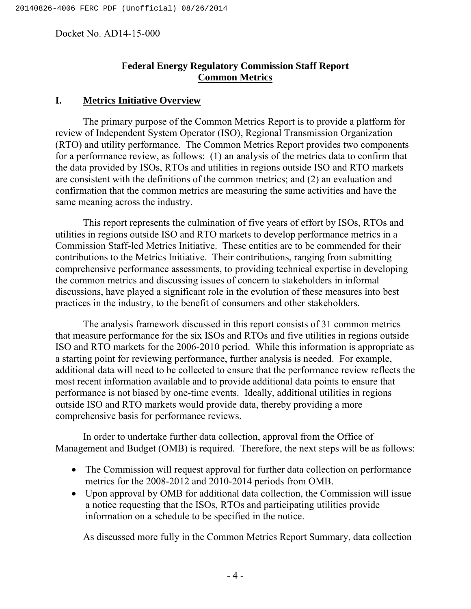## **Federal Energy Regulatory Commission Staff Report Common Metrics**

#### **I. Metrics Initiative Overview**

The primary purpose of the Common Metrics Report is to provide a platform for review of Independent System Operator (ISO), Regional Transmission Organization (RTO) and utility performance. The Common Metrics Report provides two components for a performance review, as follows: (1) an analysis of the metrics data to confirm that the data provided by ISOs, RTOs and utilities in regions outside ISO and RTO markets are consistent with the definitions of the common metrics; and (2) an evaluation and confirmation that the common metrics are measuring the same activities and have the same meaning across the industry.

This report represents the culmination of five years of effort by ISOs, RTOs and utilities in regions outside ISO and RTO markets to develop performance metrics in a Commission Staff-led Metrics Initiative. These entities are to be commended for their contributions to the Metrics Initiative. Their contributions, ranging from submitting comprehensive performance assessments, to providing technical expertise in developing the common metrics and discussing issues of concern to stakeholders in informal discussions, have played a significant role in the evolution of these measures into best practices in the industry, to the benefit of consumers and other stakeholders.

The analysis framework discussed in this report consists of 31 common metrics that measure performance for the six ISOs and RTOs and five utilities in regions outside ISO and RTO markets for the 2006-2010 period. While this information is appropriate as a starting point for reviewing performance, further analysis is needed. For example, additional data will need to be collected to ensure that the performance review reflects the most recent information available and to provide additional data points to ensure that performance is not biased by one-time events. Ideally, additional utilities in regions outside ISO and RTO markets would provide data, thereby providing a more comprehensive basis for performance reviews.

In order to undertake further data collection, approval from the Office of Management and Budget (OMB) is required. Therefore, the next steps will be as follows:

- The Commission will request approval for further data collection on performance metrics for the 2008-2012 and 2010-2014 periods from OMB.
- Upon approval by OMB for additional data collection, the Commission will issue a notice requesting that the ISOs, RTOs and participating utilities provide information on a schedule to be specified in the notice.

As discussed more fully in the Common Metrics Report Summary, data collection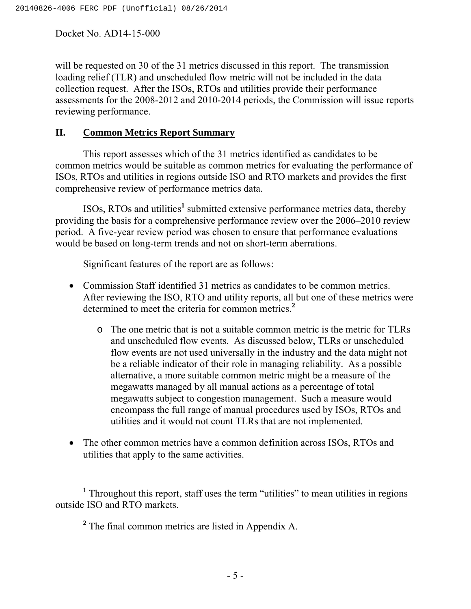will be requested on 30 of the 31 metrics discussed in this report. The transmission loading relief (TLR) and unscheduled flow metric will not be included in the data collection request. After the ISOs, RTOs and utilities provide their performance assessments for the 2008-2012 and 2010-2014 periods, the Commission will issue reports reviewing performance.

### **II. Common Metrics Report Summary**

This report assesses which of the 31 metrics identified as candidates to be common metrics would be suitable as common metrics for evaluating the performance of ISOs, RTOs and utilities in regions outside ISO and RTO markets and provides the first comprehensive review of performance metrics data.

ISOs, RTOs and utilities**<sup>1</sup>** submitted extensive performance metrics data, thereby providing the basis for a comprehensive performance review over the 2006–2010 review period. A five-year review period was chosen to ensure that performance evaluations would be based on long-term trends and not on short-term aberrations.

Significant features of the report are as follows:

- Commission Staff identified 31 metrics as candidates to be common metrics. After reviewing the ISO, RTO and utility reports, all but one of these metrics were determined to meet the criteria for common metrics.**<sup>2</sup>**
	- o The one metric that is not a suitable common metric is the metric for TLRs and unscheduled flow events. As discussed below, TLRs or unscheduled flow events are not used universally in the industry and the data might not be a reliable indicator of their role in managing reliability. As a possible alternative, a more suitable common metric might be a measure of the megawatts managed by all manual actions as a percentage of total megawatts subject to congestion management. Such a measure would encompass the full range of manual procedures used by ISOs, RTOs and utilities and it would not count TLRs that are not implemented.
- The other common metrics have a common definition across ISOs, RTOs and utilities that apply to the same activities.

**<sup>1</sup>** Throughout this report, staff uses the term "utilities" to mean utilities in regions outside ISO and RTO markets.

**<sup>2</sup>** The final common metrics are listed in Appendix A.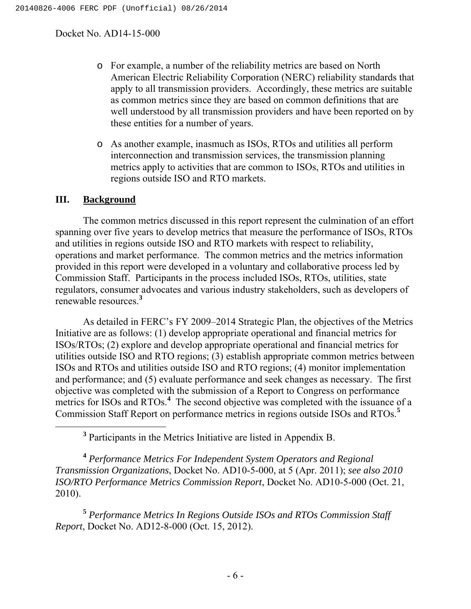- o For example, a number of the reliability metrics are based on North American Electric Reliability Corporation (NERC) reliability standards that apply to all transmission providers. Accordingly, these metrics are suitable as common metrics since they are based on common definitions that are well understood by all transmission providers and have been reported on by these entities for a number of years.
- o As another example, inasmuch as ISOs, RTOs and utilities all perform interconnection and transmission services, the transmission planning metrics apply to activities that are common to ISOs, RTOs and utilities in regions outside ISO and RTO markets.

#### **III. Background**

The common metrics discussed in this report represent the culmination of an effort spanning over five years to develop metrics that measure the performance of ISOs, RTOs and utilities in regions outside ISO and RTO markets with respect to reliability, operations and market performance. The common metrics and the metrics information provided in this report were developed in a voluntary and collaborative process led by Commission Staff. Participants in the process included ISOs, RTOs, utilities, state regulators, consumer advocates and various industry stakeholders, such as developers of renewable resources.**<sup>3</sup>**

As detailed in FERC's FY 2009–2014 Strategic Plan, the objectives of the Metrics Initiative are as follows: (1) develop appropriate operational and financial metrics for ISOs/RTOs; (2) explore and develop appropriate operational and financial metrics for utilities outside ISO and RTO regions; (3) establish appropriate common metrics between ISOs and RTOs and utilities outside ISO and RTO regions; (4) monitor implementation and performance; and (5) evaluate performance and seek changes as necessary. The first objective was completed with the submission of a Report to Congress on performance metrics for ISOs and RTOs.<sup>4</sup> The second objective was completed with the issuance of a Commission Staff Report on performance metrics in regions outside ISOs and RTOs.**<sup>5</sup>**

**<sup>3</sup>** Participants in the Metrics Initiative are listed in Appendix B.

**<sup>4</sup>** *Performance Metrics For Independent System Operators and Regional Transmission Organizations*, Docket No. AD10-5-000, at 5 (Apr. 2011); *see also 2010 ISO/RTO Performance Metrics Commission Report*, Docket No. AD10-5-000 (Oct. 21, 2010).

**<sup>5</sup>** *Performance Metrics In Regions Outside ISOs and RTOs Commission Staff Report*, Docket No. AD12-8-000 (Oct. 15, 2012).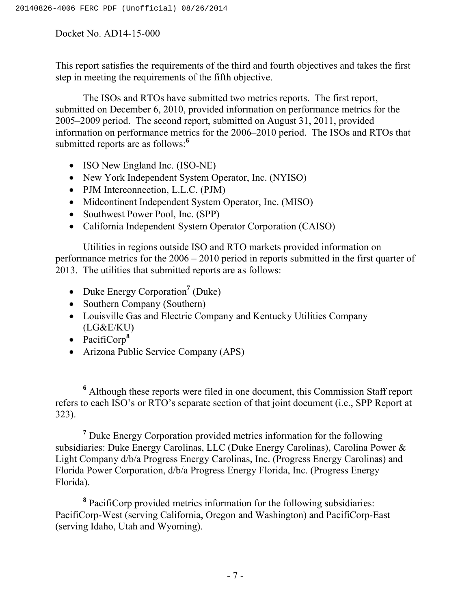This report satisfies the requirements of the third and fourth objectives and takes the first step in meeting the requirements of the fifth objective.

The ISOs and RTOs have submitted two metrics reports. The first report, submitted on December 6, 2010, provided information on performance metrics for the 2005–2009 period. The second report, submitted on August 31, 2011, provided information on performance metrics for the 2006–2010 period. The ISOs and RTOs that submitted reports are as follows:**<sup>6</sup>**

- ISO New England Inc. (ISO-NE)
- New York Independent System Operator, Inc. (NYISO)
- PJM Interconnection, L.L.C. (PJM)
- Midcontinent Independent System Operator, Inc. (MISO)
- Southwest Power Pool, Inc. (SPP)
- California Independent System Operator Corporation (CAISO)

Utilities in regions outside ISO and RTO markets provided information on performance metrics for the 2006 – 2010 period in reports submitted in the first quarter of 2013. The utilities that submitted reports are as follows:

- Duke Energy Corporation<sup>7</sup> (Duke)
- Southern Company (Southern)
- Louisville Gas and Electric Company and Kentucky Utilities Company (LG&E/KU)
- PacifiCorp**<sup>8</sup>**
- Arizona Public Service Company (APS)

**<sup>7</sup>** Duke Energy Corporation provided metrics information for the following subsidiaries: Duke Energy Carolinas, LLC (Duke Energy Carolinas), Carolina Power & Light Company d/b/a Progress Energy Carolinas, Inc. (Progress Energy Carolinas) and Florida Power Corporation, d/b/a Progress Energy Florida, Inc. (Progress Energy Florida).

**<sup>8</sup>** PacifiCorp provided metrics information for the following subsidiaries: PacifiCorp-West (serving California, Oregon and Washington) and PacifiCorp-East (serving Idaho, Utah and Wyoming).

**<sup>6</sup>** Although these reports were filed in one document, this Commission Staff report refers to each ISO's or RTO's separate section of that joint document (i.e., SPP Report at 323).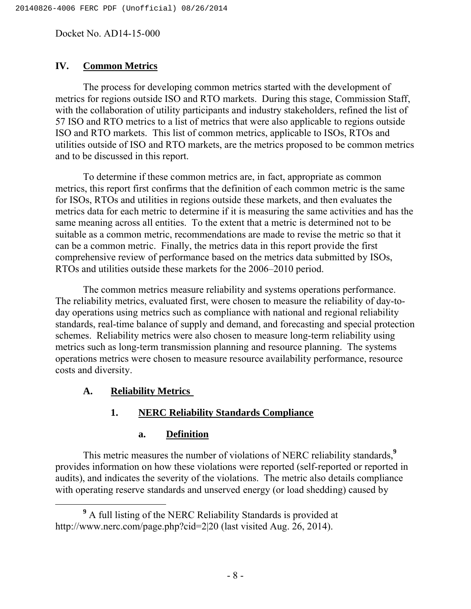### **IV. Common Metrics**

The process for developing common metrics started with the development of metrics for regions outside ISO and RTO markets. During this stage, Commission Staff, with the collaboration of utility participants and industry stakeholders, refined the list of 57 ISO and RTO metrics to a list of metrics that were also applicable to regions outside ISO and RTO markets. This list of common metrics, applicable to ISOs, RTOs and utilities outside of ISO and RTO markets, are the metrics proposed to be common metrics and to be discussed in this report.

To determine if these common metrics are, in fact, appropriate as common metrics, this report first confirms that the definition of each common metric is the same for ISOs, RTOs and utilities in regions outside these markets, and then evaluates the metrics data for each metric to determine if it is measuring the same activities and has the same meaning across all entities. To the extent that a metric is determined not to be suitable as a common metric, recommendations are made to revise the metric so that it can be a common metric. Finally, the metrics data in this report provide the first comprehensive review of performance based on the metrics data submitted by ISOs, RTOs and utilities outside these markets for the 2006–2010 period.

The common metrics measure reliability and systems operations performance. The reliability metrics, evaluated first, were chosen to measure the reliability of day-today operations using metrics such as compliance with national and regional reliability standards, real-time balance of supply and demand, and forecasting and special protection schemes. Reliability metrics were also chosen to measure long-term reliability using metrics such as long-term transmission planning and resource planning. The systems operations metrics were chosen to measure resource availability performance, resource costs and diversity.

### **A. Reliability Metrics**

#### **1. NERC Reliability Standards Compliance**

#### **a. Definition**

This metric measures the number of violations of NERC reliability standards,**<sup>9</sup>** provides information on how these violations were reported (self-reported or reported in audits), and indicates the severity of the violations. The metric also details compliance with operating reserve standards and unserved energy (or load shedding) caused by

**<sup>9</sup>** A full listing of the NERC Reliability Standards is provided at http://www.nerc.com/page.php?cid=2|20 (last visited Aug. 26, 2014).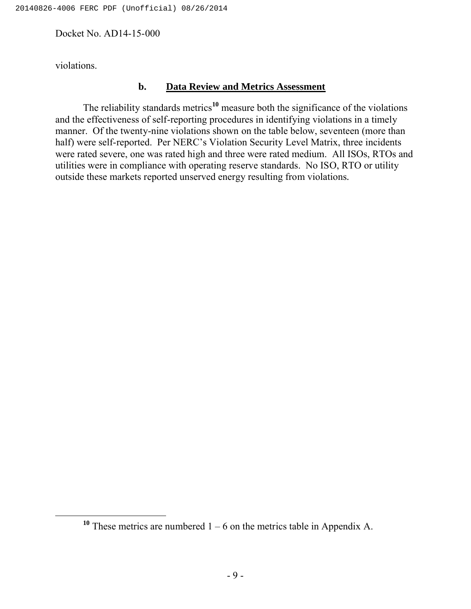violations.

### **b. Data Review and Metrics Assessment**

The reliability standards metrics**<sup>10</sup>** measure both the significance of the violations and the effectiveness of self-reporting procedures in identifying violations in a timely manner. Of the twenty-nine violations shown on the table below, seventeen (more than half) were self-reported. Per NERC's Violation Security Level Matrix, three incidents were rated severe, one was rated high and three were rated medium. All ISOs, RTOs and utilities were in compliance with operating reserve standards. No ISO, RTO or utility outside these markets reported unserved energy resulting from violations*.*

<sup>&</sup>lt;sup>10</sup> These metrics are numbered  $1 - 6$  on the metrics table in Appendix A.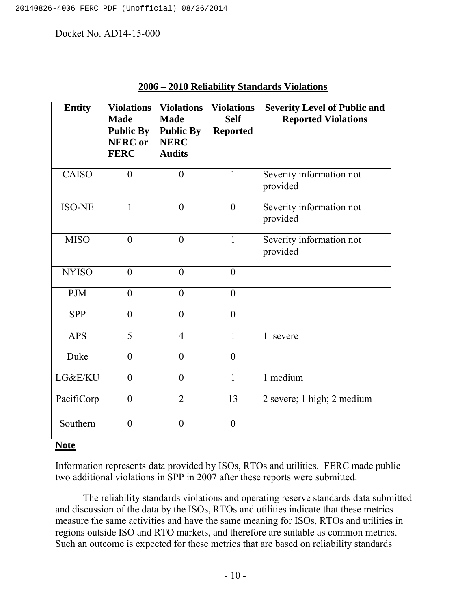| <b>Entity</b> | <b>Violations</b><br><b>Made</b><br><b>Public By</b><br><b>NERC</b> or<br><b>FERC</b> | <b>Violations</b><br><b>Made</b><br><b>Public By</b><br><b>NERC</b><br><b>Audits</b> | <b>Violations</b><br><b>Self</b><br><b>Reported</b> | <b>Severity Level of Public and</b><br><b>Reported Violations</b> |
|---------------|---------------------------------------------------------------------------------------|--------------------------------------------------------------------------------------|-----------------------------------------------------|-------------------------------------------------------------------|
| <b>CAISO</b>  | $\theta$                                                                              | $\theta$                                                                             | $\mathbf{1}$                                        | Severity information not<br>provided                              |
| <b>ISO-NE</b> | 1                                                                                     | $\overline{0}$                                                                       | $\overline{0}$                                      | Severity information not<br>provided                              |
| <b>MISO</b>   | $\overline{0}$                                                                        | $\overline{0}$                                                                       | $\mathbf{1}$                                        | Severity information not<br>provided                              |
| <b>NYISO</b>  | $\overline{0}$                                                                        | $\overline{0}$                                                                       | $\overline{0}$                                      |                                                                   |
| <b>PJM</b>    | $\overline{0}$                                                                        | $\overline{0}$                                                                       | $\overline{0}$                                      |                                                                   |
| <b>SPP</b>    | $\boldsymbol{0}$                                                                      | $\boldsymbol{0}$                                                                     | $\boldsymbol{0}$                                    |                                                                   |
| <b>APS</b>    | 5                                                                                     | $\overline{4}$                                                                       | $\mathbf{1}$                                        | $\mathbf{1}$<br>severe                                            |
| Duke          | $\theta$                                                                              | $\theta$                                                                             | $\theta$                                            |                                                                   |
| LG&E/KU       | $\overline{0}$                                                                        | $\overline{0}$                                                                       | $\mathbf{1}$                                        | 1 medium                                                          |
| PacifiCorp    | $\overline{0}$                                                                        | $\overline{2}$                                                                       | 13                                                  | 2 severe; 1 high; 2 medium                                        |
| Southern      | $\overline{0}$                                                                        | $\boldsymbol{0}$                                                                     | $\boldsymbol{0}$                                    |                                                                   |

### **2006 – 2010 Reliability Standards Violations**

## **Note**

Information represents data provided by ISOs, RTOs and utilities. FERC made public two additional violations in SPP in 2007 after these reports were submitted.

The reliability standards violations and operating reserve standards data submitted and discussion of the data by the ISOs, RTOs and utilities indicate that these metrics measure the same activities and have the same meaning for ISOs, RTOs and utilities in regions outside ISO and RTO markets, and therefore are suitable as common metrics. Such an outcome is expected for these metrics that are based on reliability standards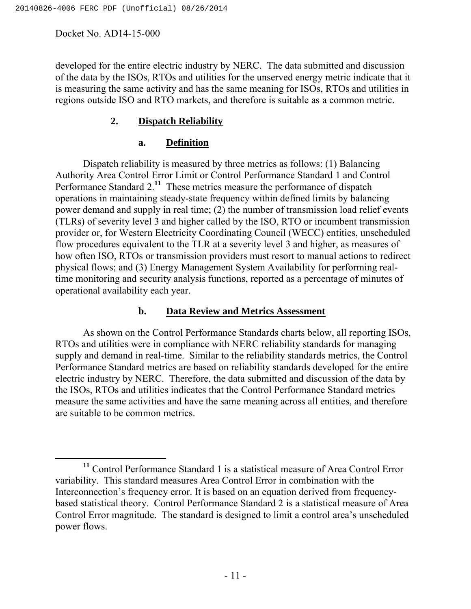developed for the entire electric industry by NERC. The data submitted and discussion of the data by the ISOs, RTOs and utilities for the unserved energy metric indicate that it is measuring the same activity and has the same meaning for ISOs, RTOs and utilities in regions outside ISO and RTO markets, and therefore is suitable as a common metric.

## **2. Dispatch Reliability**

## **a. Definition**

Dispatch reliability is measured by three metrics as follows: (1) Balancing Authority Area Control Error Limit or Control Performance Standard 1 and Control Performance Standard 2.**<sup>11</sup>** These metrics measure the performance of dispatch operations in maintaining steady-state frequency within defined limits by balancing power demand and supply in real time; (2) the number of transmission load relief events (TLRs) of severity level 3 and higher called by the ISO, RTO or incumbent transmission provider or, for Western Electricity Coordinating Council (WECC) entities, unscheduled flow procedures equivalent to the TLR at a severity level 3 and higher, as measures of how often ISO, RTOs or transmission providers must resort to manual actions to redirect physical flows; and (3) Energy Management System Availability for performing realtime monitoring and security analysis functions, reported as a percentage of minutes of operational availability each year.

### **b. Data Review and Metrics Assessment**

As shown on the Control Performance Standards charts below, all reporting ISOs, RTOs and utilities were in compliance with NERC reliability standards for managing supply and demand in real-time. Similar to the reliability standards metrics, the Control Performance Standard metrics are based on reliability standards developed for the entire electric industry by NERC. Therefore, the data submitted and discussion of the data by the ISOs, RTOs and utilities indicates that the Control Performance Standard metrics measure the same activities and have the same meaning across all entities, and therefore are suitable to be common metrics.

**<sup>11</sup>** Control Performance Standard 1 is a statistical measure of Area Control Error variability. This standard measures Area Control Error in combination with the Interconnection's frequency error. It is based on an equation derived from frequencybased statistical theory. Control Performance Standard 2 is a statistical measure of Area Control Error magnitude. The standard is designed to limit a control area's unscheduled power flows.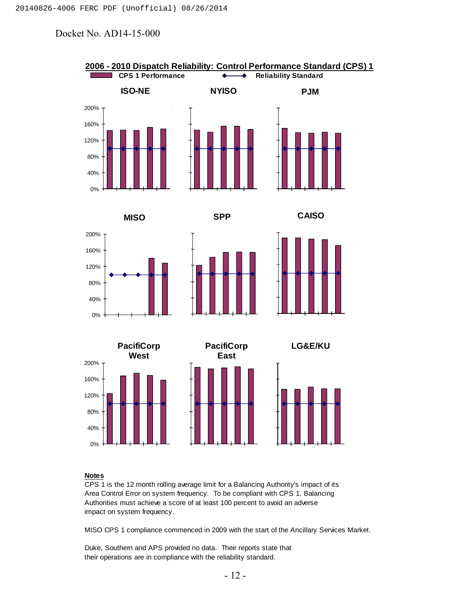

#### **Notes**

CPS 1 is the 12 month rolling average limit for a Balancing Authority's impact of its Area Control Error on system frequency. To be compliant with CPS 1, Balancing Authorities must achieve a score of at least 100 percent to avoid an adverse impact on system frequency.

MISO CPS 1 compliance commenced in 2009 with the start of the Ancillary Services Market.

Duke, Southern and APS provided no data. Their reports state that their operations are in compliance with the reliability standard.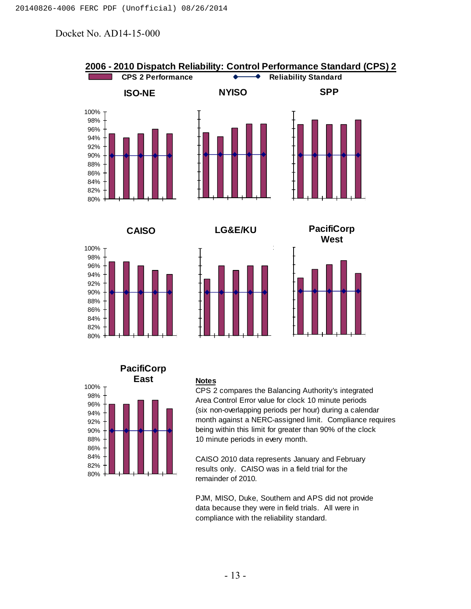



#### **Notes**

CPS 2 compares the Balancing Authority's integrated Area Control Error value for clock 10 minute periods (six non-overlapping periods per hour) during a calendar month against a NERC-assigned limit. Compliance requires being within this limit for greater than 90% of the clock 10 minute periods in every month.

CAISO 2010 data represents January and February results only. CAISO was in a field trial for the remainder of 2010.

PJM, MISO, Duke, Southern and APS did not provide data because they were in field trials. All were in compliance with the reliability standard.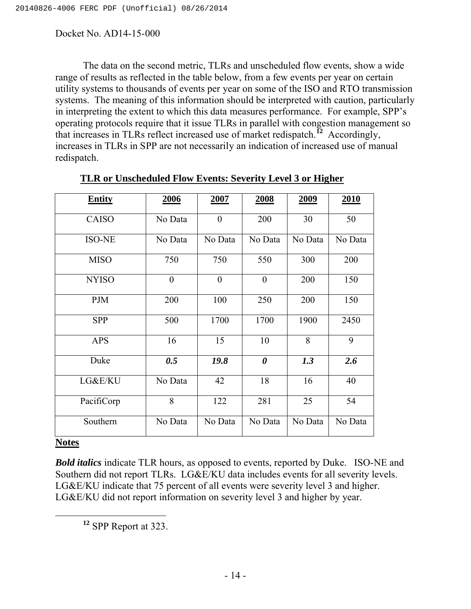The data on the second metric, TLRs and unscheduled flow events, show a wide range of results as reflected in the table below, from a few events per year on certain utility systems to thousands of events per year on some of the ISO and RTO transmission systems. The meaning of this information should be interpreted with caution, particularly in interpreting the extent to which this data measures performance. For example, SPP's operating protocols require that it issue TLRs in parallel with congestion management so that increases in TLRs reflect increased use of market redispatch.**<sup>12</sup>** Accordingly, increases in TLRs in SPP are not necessarily an indication of increased use of manual redispatch.

| <b>Entity</b>            | 2006           | 2007           | 2008                  | <u>2009</u> | 2010    |
|--------------------------|----------------|----------------|-----------------------|-------------|---------|
| <b>CAISO</b>             | No Data        | $\overline{0}$ | 200                   | 30          | 50      |
| <b>ISO-NE</b>            | No Data        | No Data        | No Data               | No Data     | No Data |
| <b>MISO</b>              | 750            | 750            | 550                   | 300         | 200     |
| <b>NYISO</b>             | $\overline{0}$ | $\theta$       | $\overline{0}$        | 200         | 150     |
| <b>PJM</b>               | 200            | 100            | 250                   | 200         | 150     |
| <b>SPP</b>               | 500            | 1700           | 1700                  | 1900        | 2450    |
| <b>APS</b>               | 16             | 15             | 10                    | 8           | 9       |
| Duke                     | 0.5            | 19.8           | $\boldsymbol{\theta}$ | 1.3         | 2.6     |
| LG&E/KU                  | No Data        | 42             | 18                    | 16          | 40      |
| PacifiCorp               | 8              | 122            | 281                   | 25          | 54      |
| Southern<br>$\mathbf{X}$ | No Data        | No Data        | No Data               | No Data     | No Data |

|  |  | TLR or Unscheduled Flow Events: Severity Level 3 or Higher |
|--|--|------------------------------------------------------------|
|  |  |                                                            |

**Notes**

*Bold italics* indicate TLR hours, as opposed to events, reported by Duke. ISO-NE and Southern did not report TLRs. LG&E/KU data includes events for all severity levels. LG&E/KU indicate that 75 percent of all events were severity level 3 and higher. LG&E/KU did not report information on severity level 3 and higher by year.

**<sup>12</sup>** SPP Report at 323.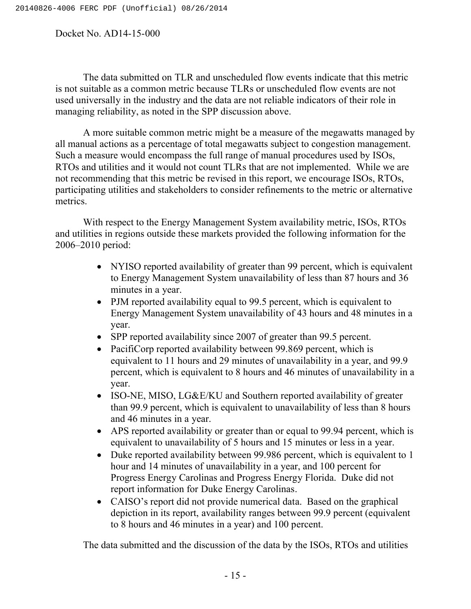The data submitted on TLR and unscheduled flow events indicate that this metric is not suitable as a common metric because TLRs or unscheduled flow events are not used universally in the industry and the data are not reliable indicators of their role in managing reliability, as noted in the SPP discussion above.

A more suitable common metric might be a measure of the megawatts managed by all manual actions as a percentage of total megawatts subject to congestion management. Such a measure would encompass the full range of manual procedures used by ISOs, RTOs and utilities and it would not count TLRs that are not implemented. While we are not recommending that this metric be revised in this report, we encourage ISOs, RTOs, participating utilities and stakeholders to consider refinements to the metric or alternative metrics.

With respect to the Energy Management System availability metric, ISOs, RTOs and utilities in regions outside these markets provided the following information for the 2006–2010 period:

- NYISO reported availability of greater than 99 percent, which is equivalent to Energy Management System unavailability of less than 87 hours and 36 minutes in a year.
- PJM reported availability equal to 99.5 percent, which is equivalent to Energy Management System unavailability of 43 hours and 48 minutes in a year.
- SPP reported availability since 2007 of greater than 99.5 percent.
- PacifiCorp reported availability between 99.869 percent, which is equivalent to 11 hours and 29 minutes of unavailability in a year, and 99.9 percent, which is equivalent to 8 hours and 46 minutes of unavailability in a year.
- ISO-NE, MISO, LG&E/KU and Southern reported availability of greater than 99.9 percent, which is equivalent to unavailability of less than 8 hours and 46 minutes in a year.
- APS reported availability or greater than or equal to 99.94 percent, which is equivalent to unavailability of 5 hours and 15 minutes or less in a year.
- Duke reported availability between 99.986 percent, which is equivalent to 1 hour and 14 minutes of unavailability in a year, and 100 percent for Progress Energy Carolinas and Progress Energy Florida. Duke did not report information for Duke Energy Carolinas.
- CAISO's report did not provide numerical data. Based on the graphical depiction in its report, availability ranges between 99.9 percent (equivalent to 8 hours and 46 minutes in a year) and 100 percent.

The data submitted and the discussion of the data by the ISOs, RTOs and utilities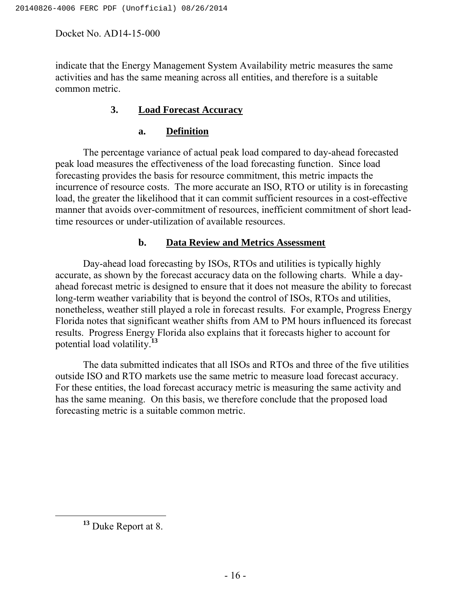indicate that the Energy Management System Availability metric measures the same activities and has the same meaning across all entities, and therefore is a suitable common metric.

### **3. Load Forecast Accuracy**

#### **a. Definition**

The percentage variance of actual peak load compared to day-ahead forecasted peak load measures the effectiveness of the load forecasting function. Since load forecasting provides the basis for resource commitment, this metric impacts the incurrence of resource costs. The more accurate an ISO, RTO or utility is in forecasting load, the greater the likelihood that it can commit sufficient resources in a cost-effective manner that avoids over-commitment of resources, inefficient commitment of short leadtime resources or under-utilization of available resources.

### **b. Data Review and Metrics Assessment**

Day-ahead load forecasting by ISOs, RTOs and utilities is typically highly accurate, as shown by the forecast accuracy data on the following charts. While a dayahead forecast metric is designed to ensure that it does not measure the ability to forecast long-term weather variability that is beyond the control of ISOs, RTOs and utilities, nonetheless, weather still played a role in forecast results. For example, Progress Energy Florida notes that significant weather shifts from AM to PM hours influenced its forecast results. Progress Energy Florida also explains that it forecasts higher to account for potential load volatility.**<sup>13</sup>**

The data submitted indicates that all ISOs and RTOs and three of the five utilities outside ISO and RTO markets use the same metric to measure load forecast accuracy. For these entities, the load forecast accuracy metric is measuring the same activity and has the same meaning. On this basis, we therefore conclude that the proposed load forecasting metric is a suitable common metric.

**<sup>13</sup>** Duke Report at 8.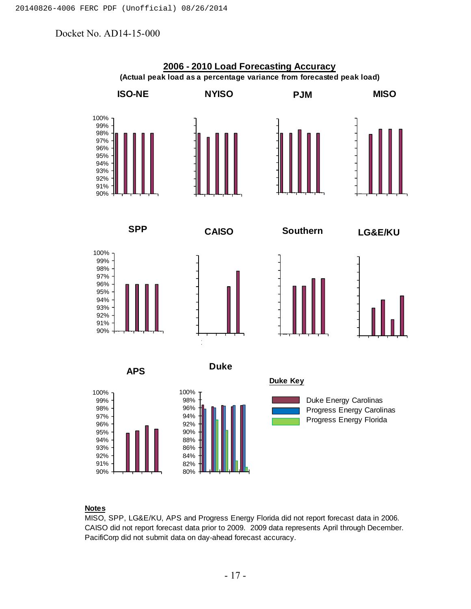

#### **Notes**

MISO, SPP, LG&E/KU, APS and Progress Energy Florida did not report forecast data in 2006. CAISO did not report forecast data prior to 2009. 2009 data represents April through December. PacifiCorp did not submit data on day-ahead forecast accuracy.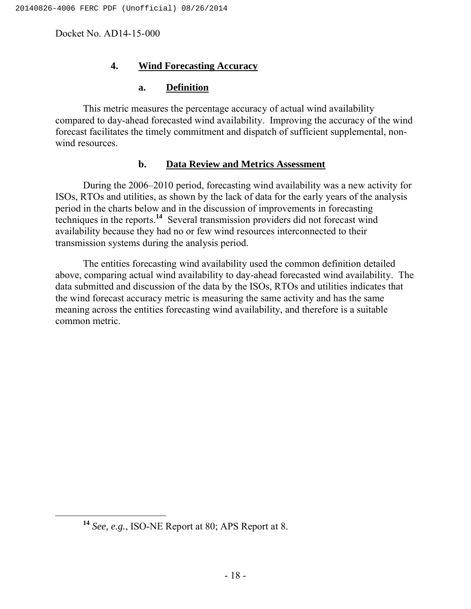#### **4. Wind Forecasting Accuracy**

#### **a. Definition**

This metric measures the percentage accuracy of actual wind availability compared to day-ahead forecasted wind availability. Improving the accuracy of the wind forecast facilitates the timely commitment and dispatch of sufficient supplemental, nonwind resources.

#### **b. Data Review and Metrics Assessment**

During the 2006–2010 period, forecasting wind availability was a new activity for ISOs, RTOs and utilities, as shown by the lack of data for the early years of the analysis period in the charts below and in the discussion of improvements in forecasting techniques in the reports.**<sup>14</sup>** Several transmission providers did not forecast wind availability because they had no or few wind resources interconnected to their transmission systems during the analysis period.

The entities forecasting wind availability used the common definition detailed above, comparing actual wind availability to day-ahead forecasted wind availability. The data submitted and discussion of the data by the ISOs, RTOs and utilities indicates that the wind forecast accuracy metric is measuring the same activity and has the same meaning across the entities forecasting wind availability, and therefore is a suitable common metric.

**<sup>14</sup>** *See, e.g.*, ISO-NE Report at 80; APS Report at 8.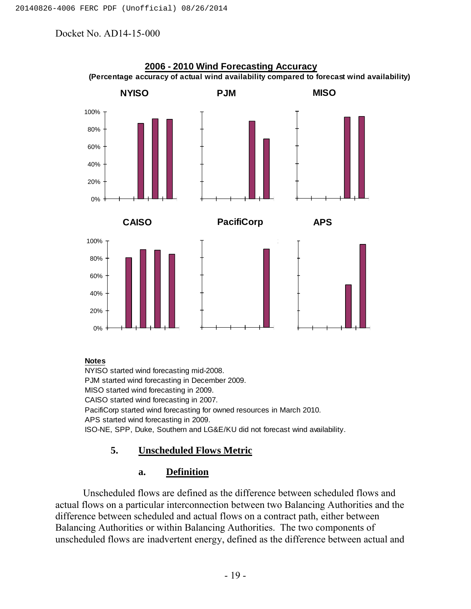

#### **Notes**

NYISO started wind forecasting mid-2008. PJM started wind forecasting in December 2009. MISO started wind forecasting in 2009. CAISO started wind forecasting in 2007. PacifiCorp started wind forecasting for owned resources in March 2010. APS started wind forecasting in 2009. ISO-NE, SPP, Duke, Southern and LG&E/KU did not forecast wind availability.

### **5. Unscheduled Flows Metric**

#### **a. Definition**

Unscheduled flows are defined as the difference between scheduled flows and actual flows on a particular interconnection between two Balancing Authorities and the difference between scheduled and actual flows on a contract path, either between Balancing Authorities or within Balancing Authorities. The two components of unscheduled flows are inadvertent energy, defined as the difference between actual and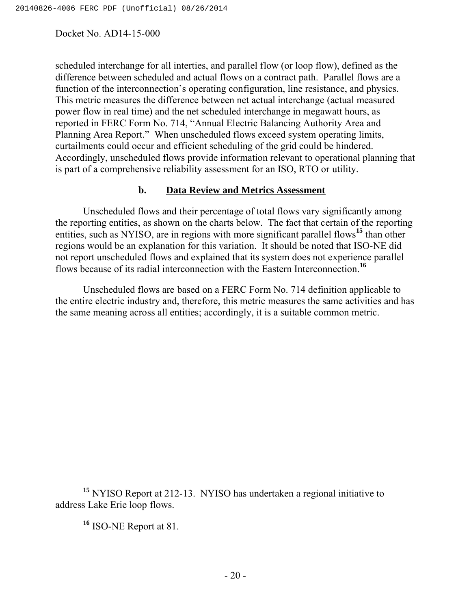scheduled interchange for all interties, and parallel flow (or loop flow), defined as the difference between scheduled and actual flows on a contract path. Parallel flows are a function of the interconnection's operating configuration, line resistance, and physics. This metric measures the difference between net actual interchange (actual measured power flow in real time) and the net scheduled interchange in megawatt hours, as reported in FERC Form No. 714, "Annual Electric Balancing Authority Area and Planning Area Report." When unscheduled flows exceed system operating limits, curtailments could occur and efficient scheduling of the grid could be hindered. Accordingly, unscheduled flows provide information relevant to operational planning that is part of a comprehensive reliability assessment for an ISO, RTO or utility.

#### **b. Data Review and Metrics Assessment**

Unscheduled flows and their percentage of total flows vary significantly among the reporting entities, as shown on the charts below. The fact that certain of the reporting entities, such as NYISO, are in regions with more significant parallel flows**<sup>15</sup>** than other regions would be an explanation for this variation. It should be noted that ISO-NE did not report unscheduled flows and explained that its system does not experience parallel flows because of its radial interconnection with the Eastern Interconnection.**<sup>16</sup>**

Unscheduled flows are based on a FERC Form No. 714 definition applicable to the entire electric industry and, therefore, this metric measures the same activities and has the same meaning across all entities; accordingly, it is a suitable common metric.

**<sup>16</sup>** ISO-NE Report at 81.

**<sup>15</sup>** NYISO Report at 212-13. NYISO has undertaken a regional initiative to address Lake Erie loop flows.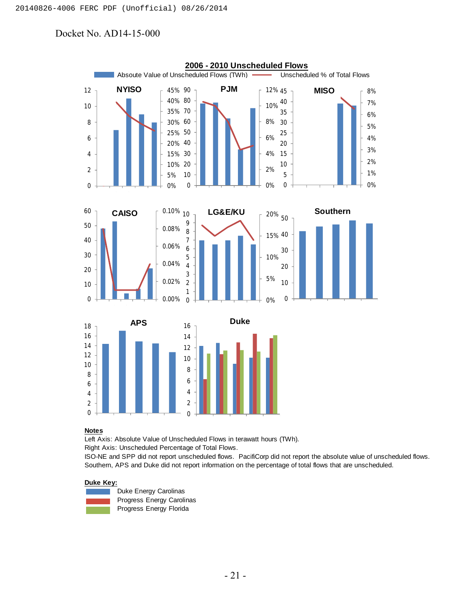

#### **Notes**

Left Axis: Absolute Value of Unscheduled Flows in terawatt hours (TWh).

Right Axis: Unscheduled Percentage of Total Flows.

ISO-NE and SPP did not report unscheduled flows. PacifiCorp did not report the absolute value of unscheduled flows. Southern, APS and Duke did not report information on the percentage of total flows that are unscheduled.

#### **Duke Key:**



Duke Energy Carolinas Progress Energy Carolinas Progress Energy Florida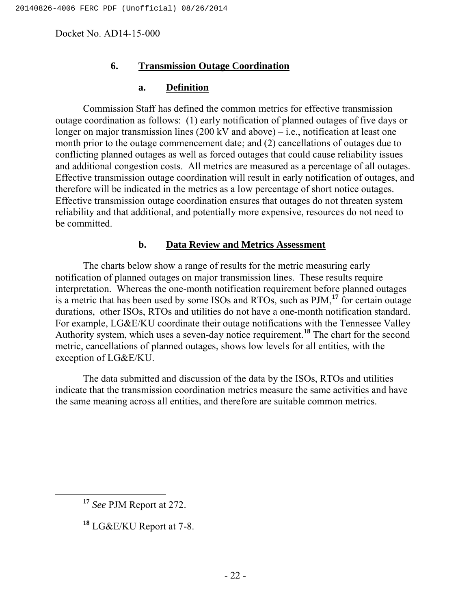#### **6. Transmission Outage Coordination**

#### **a. Definition**

Commission Staff has defined the common metrics for effective transmission outage coordination as follows: (1) early notification of planned outages of five days or longer on major transmission lines  $(200 \text{ kV}$  and above) – i.e., notification at least one month prior to the outage commencement date; and (2) cancellations of outages due to conflicting planned outages as well as forced outages that could cause reliability issues and additional congestion costs. All metrics are measured as a percentage of all outages. Effective transmission outage coordination will result in early notification of outages, and therefore will be indicated in the metrics as a low percentage of short notice outages. Effective transmission outage coordination ensures that outages do not threaten system reliability and that additional, and potentially more expensive, resources do not need to be committed.

#### **b. Data Review and Metrics Assessment**

The charts below show a range of results for the metric measuring early notification of planned outages on major transmission lines. These results require interpretation. Whereas the one-month notification requirement before planned outages is a metric that has been used by some ISOs and RTOs, such as PJM,**<sup>17</sup>** for certain outage durations, other ISOs, RTOs and utilities do not have a one-month notification standard. For example, LG&E/KU coordinate their outage notifications with the Tennessee Valley Authority system, which uses a seven-day notice requirement.**<sup>18</sup>** The chart for the second metric, cancellations of planned outages, shows low levels for all entities, with the exception of LG&E/KU.

The data submitted and discussion of the data by the ISOs, RTOs and utilities indicate that the transmission coordination metrics measure the same activities and have the same meaning across all entities, and therefore are suitable common metrics.

**<sup>17</sup>** *See* PJM Report at 272.

**<sup>18</sup>** LG&E/KU Report at 7-8.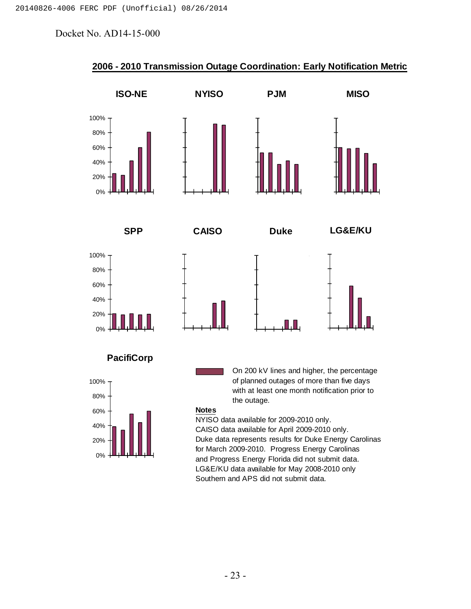

## **2006 - 2010 Transmission Outage Coordination: Early Notification Metric**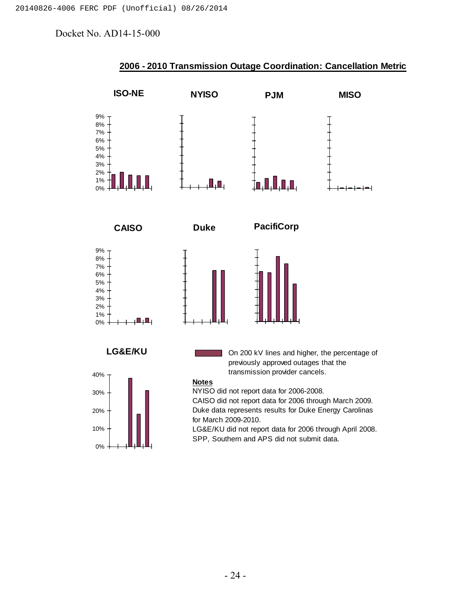

#### **2006 - 2010 Transmission Outage Coordination: Cancellation Metric**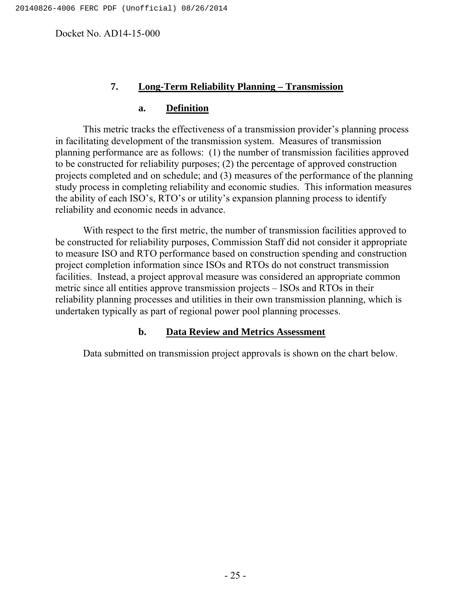#### **7. Long-Term Reliability Planning – Transmission**

#### **a. Definition**

This metric tracks the effectiveness of a transmission provider's planning process in facilitating development of the transmission system. Measures of transmission planning performance are as follows: (1) the number of transmission facilities approved to be constructed for reliability purposes; (2) the percentage of approved construction projects completed and on schedule; and (3) measures of the performance of the planning study process in completing reliability and economic studies. This information measures the ability of each ISO's, RTO's or utility's expansion planning process to identify reliability and economic needs in advance.

With respect to the first metric, the number of transmission facilities approved to be constructed for reliability purposes, Commission Staff did not consider it appropriate to measure ISO and RTO performance based on construction spending and construction project completion information since ISOs and RTOs do not construct transmission facilities. Instead, a project approval measure was considered an appropriate common metric since all entities approve transmission projects – ISOs and RTOs in their reliability planning processes and utilities in their own transmission planning, which is undertaken typically as part of regional power pool planning processes.

#### **b. Data Review and Metrics Assessment**

Data submitted on transmission project approvals is shown on the chart below.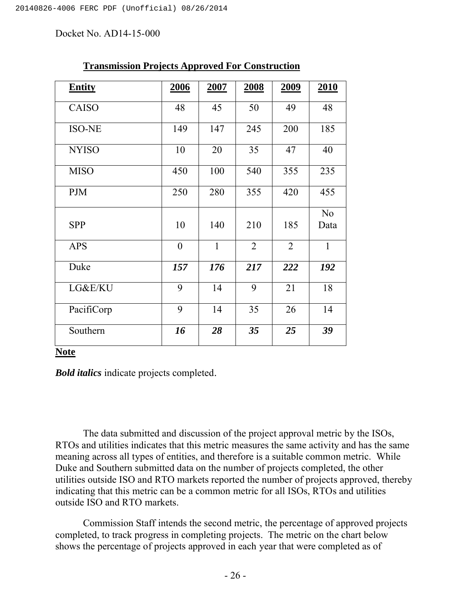| <b>Entity</b> | 2006             | 2007         | 2008           | 2009           | <b>2010</b>            |
|---------------|------------------|--------------|----------------|----------------|------------------------|
| <b>CAISO</b>  | 48               | 45           | 50             | 49             | 48                     |
| <b>ISO-NE</b> | 149              | 147          | 245            | 200            | 185                    |
| <b>NYISO</b>  | 10               | 20           | 35             | 47             | 40                     |
| <b>MISO</b>   | 450              | 100          | 540            | 355            | 235                    |
| <b>PJM</b>    | 250              | 280          | 355            | 420            | 455                    |
| <b>SPP</b>    | 10               | 140          | 210            | 185            | N <sub>o</sub><br>Data |
| <b>APS</b>    | $\boldsymbol{0}$ | $\mathbf{1}$ | $\overline{2}$ | $\overline{2}$ | $\mathbf{1}$           |
| Duke          | 157              | 176          | 217            | 222            | 192                    |
| LG&E/KU       | 9                | 14           | 9              | 21             | 18                     |
| PacifiCorp    | 9                | 14           | 35             | 26             | 14                     |
| Southern      | 16               | 28           | 35             | 25             | 39                     |

#### **Transmission Projects Approved For Construction**

#### **Note**

*Bold italics* indicate projects completed.

The data submitted and discussion of the project approval metric by the ISOs, RTOs and utilities indicates that this metric measures the same activity and has the same meaning across all types of entities, and therefore is a suitable common metric. While Duke and Southern submitted data on the number of projects completed, the other utilities outside ISO and RTO markets reported the number of projects approved, thereby indicating that this metric can be a common metric for all ISOs, RTOs and utilities outside ISO and RTO markets.

Commission Staff intends the second metric, the percentage of approved projects completed, to track progress in completing projects. The metric on the chart below shows the percentage of projects approved in each year that were completed as of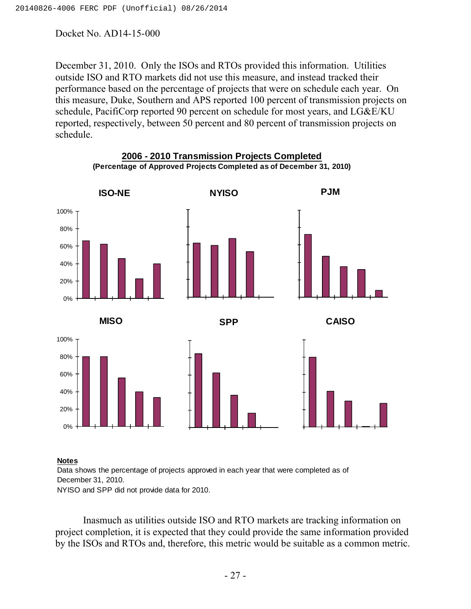December 31, 2010. Only the ISOs and RTOs provided this information. Utilities outside ISO and RTO markets did not use this measure, and instead tracked their performance based on the percentage of projects that were on schedule each year. On this measure, Duke, Southern and APS reported 100 percent of transmission projects on schedule, PacifiCorp reported 90 percent on schedule for most years, and LG&E/KU reported, respectively, between 50 percent and 80 percent of transmission projects on schedule.



## **2006 - 2010 Transmission Projects Completed (Percentage of Approved Projects Completed as of December 31, 2010)**

#### **Notes**

Data shows the percentage of projects approved in each year that were completed as of December 31, 2010. NYISO and SPP did not provide data for 2010.

Inasmuch as utilities outside ISO and RTO markets are tracking information on project completion, it is expected that they could provide the same information provided by the ISOs and RTOs and, therefore, this metric would be suitable as a common metric.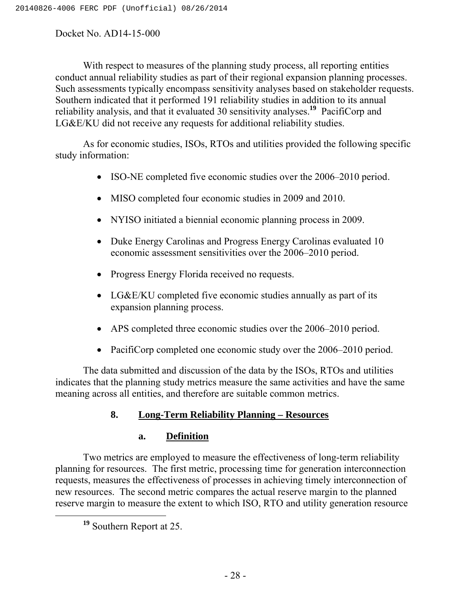With respect to measures of the planning study process, all reporting entities conduct annual reliability studies as part of their regional expansion planning processes. Such assessments typically encompass sensitivity analyses based on stakeholder requests. Southern indicated that it performed 191 reliability studies in addition to its annual reliability analysis, and that it evaluated 30 sensitivity analyses.**<sup>19</sup>** PacifiCorp and LG&E/KU did not receive any requests for additional reliability studies.

As for economic studies, ISOs, RTOs and utilities provided the following specific study information:

- ISO-NE completed five economic studies over the 2006–2010 period.
- MISO completed four economic studies in 2009 and 2010.
- NYISO initiated a biennial economic planning process in 2009.
- Duke Energy Carolinas and Progress Energy Carolinas evaluated 10 economic assessment sensitivities over the 2006–2010 period.
- Progress Energy Florida received no requests.
- LG&E/KU completed five economic studies annually as part of its expansion planning process.
- APS completed three economic studies over the 2006–2010 period.
- PacifiCorp completed one economic study over the 2006–2010 period.

The data submitted and discussion of the data by the ISOs, RTOs and utilities indicates that the planning study metrics measure the same activities and have the same meaning across all entities, and therefore are suitable common metrics.

## **8. Long-Term Reliability Planning – Resources**

### **a. Definition**

Two metrics are employed to measure the effectiveness of long-term reliability planning for resources. The first metric, processing time for generation interconnection requests, measures the effectiveness of processes in achieving timely interconnection of new resources. The second metric compares the actual reserve margin to the planned reserve margin to measure the extent to which ISO, RTO and utility generation resource

**<sup>19</sup>** Southern Report at 25.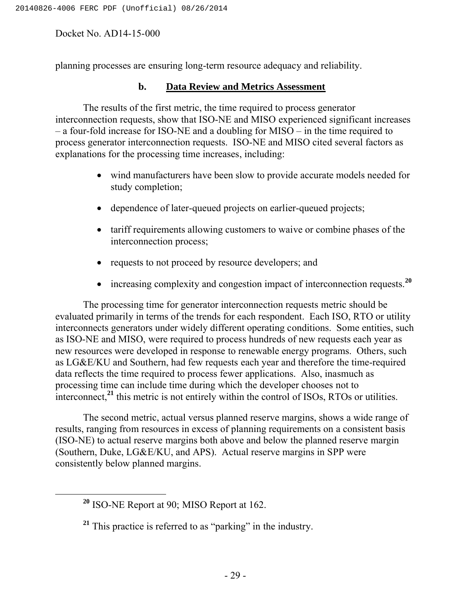planning processes are ensuring long-term resource adequacy and reliability.

#### **b. Data Review and Metrics Assessment**

The results of the first metric, the time required to process generator interconnection requests, show that ISO-NE and MISO experienced significant increases – a four-fold increase for ISO-NE and a doubling for MISO – in the time required to process generator interconnection requests. ISO-NE and MISO cited several factors as explanations for the processing time increases, including:

- wind manufacturers have been slow to provide accurate models needed for study completion;
- dependence of later-queued projects on earlier-queued projects;
- tariff requirements allowing customers to waive or combine phases of the interconnection process;
- requests to not proceed by resource developers; and
- increasing complexity and congestion impact of interconnection requests.<sup>20</sup>

The processing time for generator interconnection requests metric should be evaluated primarily in terms of the trends for each respondent. Each ISO, RTO or utility interconnects generators under widely different operating conditions. Some entities, such as ISO-NE and MISO, were required to process hundreds of new requests each year as new resources were developed in response to renewable energy programs. Others, such as LG&E/KU and Southern, had few requests each year and therefore the time-required data reflects the time required to process fewer applications. Also, inasmuch as processing time can include time during which the developer chooses not to interconnect,<sup>21</sup> this metric is not entirely within the control of ISOs, RTOs or utilities.

The second metric, actual versus planned reserve margins, shows a wide range of results, ranging from resources in excess of planning requirements on a consistent basis (ISO-NE) to actual reserve margins both above and below the planned reserve margin (Southern, Duke, LG&E/KU, and APS). Actual reserve margins in SPP were consistently below planned margins.

**<sup>20</sup>** ISO-NE Report at 90; MISO Report at 162.

**<sup>21</sup>** This practice is referred to as "parking" in the industry.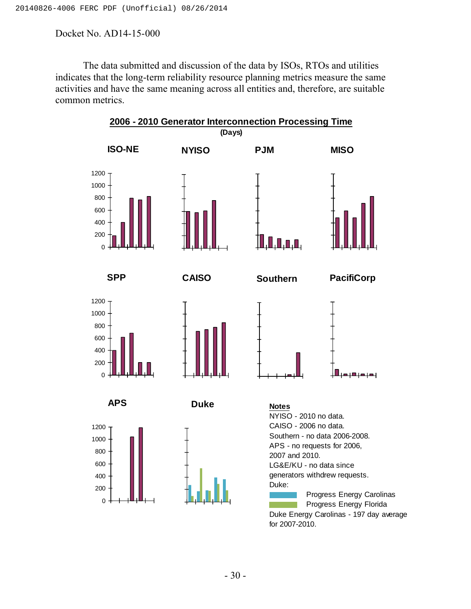The data submitted and discussion of the data by ISOs, RTOs and utilities indicates that the long-term reliability resource planning metrics measure the same activities and have the same meaning across all entities and, therefore, are suitable common metrics.

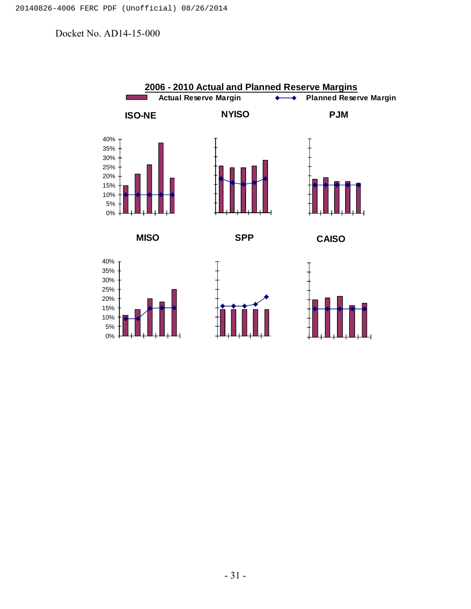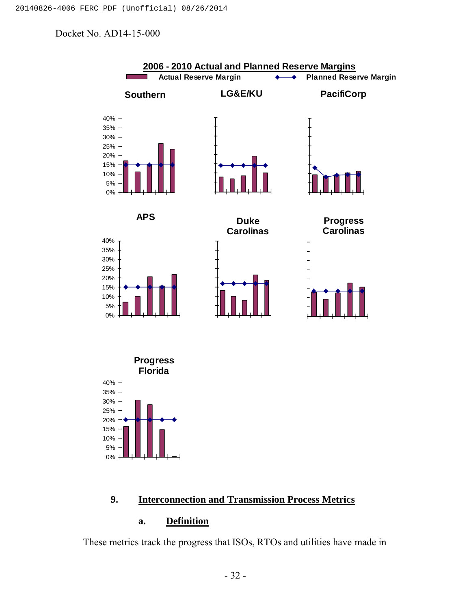

#### **9. Interconnection and Transmission Process Metrics**

## **a. Definition**

These metrics track the progress that ISOs, RTOs and utilities have made in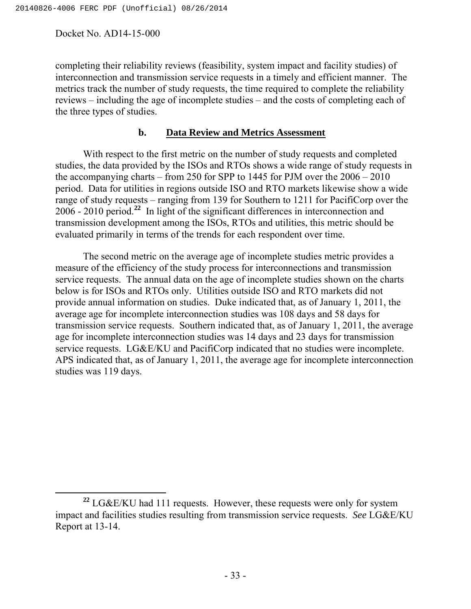completing their reliability reviews (feasibility, system impact and facility studies) of interconnection and transmission service requests in a timely and efficient manner. The metrics track the number of study requests, the time required to complete the reliability reviews – including the age of incomplete studies – and the costs of completing each of the three types of studies.

#### **b. Data Review and Metrics Assessment**

With respect to the first metric on the number of study requests and completed studies, the data provided by the ISOs and RTOs shows a wide range of study requests in the accompanying charts – from 250 for SPP to 1445 for PJM over the 2006 – 2010 period. Data for utilities in regions outside ISO and RTO markets likewise show a wide range of study requests – ranging from 139 for Southern to 1211 for PacifiCorp over the 2006 - 2010 period.**<sup>22</sup>** In light of the significant differences in interconnection and transmission development among the ISOs, RTOs and utilities, this metric should be evaluated primarily in terms of the trends for each respondent over time.

The second metric on the average age of incomplete studies metric provides a measure of the efficiency of the study process for interconnections and transmission service requests. The annual data on the age of incomplete studies shown on the charts below is for ISOs and RTOs only. Utilities outside ISO and RTO markets did not provide annual information on studies. Duke indicated that, as of January 1, 2011, the average age for incomplete interconnection studies was 108 days and 58 days for transmission service requests. Southern indicated that, as of January 1, 2011, the average age for incomplete interconnection studies was 14 days and 23 days for transmission service requests. LG&E/KU and PacifiCorp indicated that no studies were incomplete. APS indicated that, as of January 1, 2011, the average age for incomplete interconnection studies was 119 days.

**<sup>22</sup>** LG&E/KU had 111 requests. However, these requests were only for system impact and facilities studies resulting from transmission service requests. *See* LG&E/KU Report at 13-14.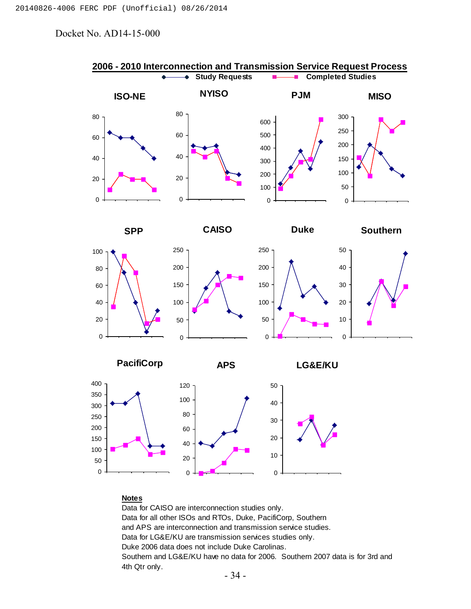

#### **Notes**

Data for CAISO are interconnection studies only. Data for all other ISOs and RTOs, Duke, PacifiCorp, Southern and APS are interconnection and transmission service studies. Data for LG&E/KU are transmission services studies only. Duke 2006 data does not include Duke Carolinas. Southern and LG&E/KU have no data for 2006. Southern 2007 data is for 3rd and 4th Qtr only.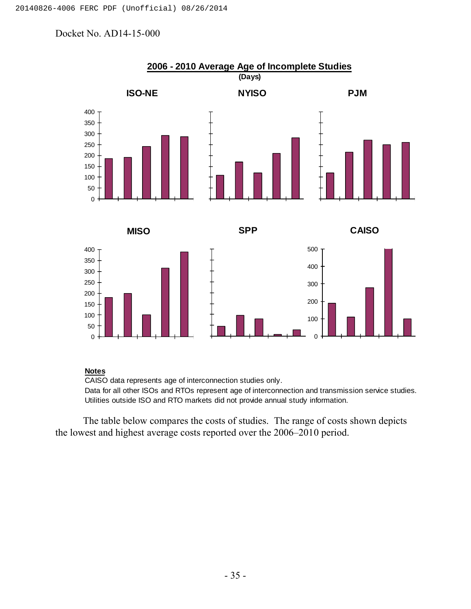

#### **Notes**

CAISO data represents age of interconnection studies only.

Data for all other ISOs and RTOs represent age of interconnection and transmission service studies. Utilities outside ISO and RTO markets did not provide annual study information.

The table below compares the costs of studies. The range of costs shown depicts the lowest and highest average costs reported over the 2006–2010 period.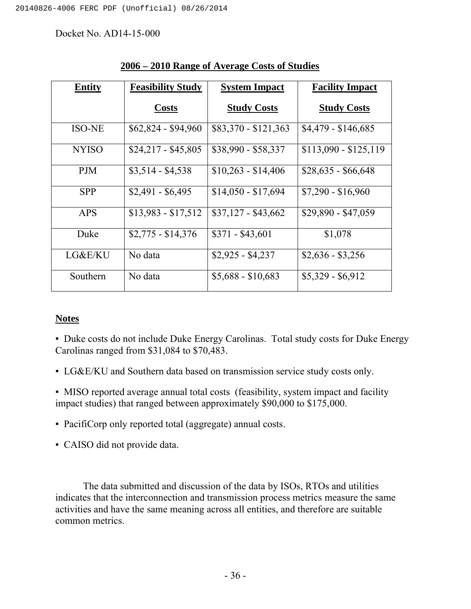| <b>Entity</b> | <b>Feasibility Study</b> | <b>System Impact</b> | <b>Facility Impact</b> |  |  |
|---------------|--------------------------|----------------------|------------------------|--|--|
|               | <b>Costs</b>             | <b>Study Costs</b>   | <b>Study Costs</b>     |  |  |
| <b>ISO-NE</b> | $$62,824 - $94,960$      | $$83,370 - $121,363$ | $$4,479 - $146,685$    |  |  |
| <b>NYISO</b>  | $$24,217 - $45,805$      | $$38,990 - $58,337$  | $$113,090 - $125,119$  |  |  |
| <b>PJM</b>    | $$3,514 - $4,538$        | $$10,263 - $14,406$  | $$28,635 - $66,648$    |  |  |
| <b>SPP</b>    | $$2,491 - $6,495$        | $$14,050 - $17,694$  | $$7,290 - $16,960$     |  |  |
| <b>APS</b>    | $$13,983 - $17,512$      | $$37,127 - $43,662$  | \$29,890 - \$47,059    |  |  |
| Duke          | $$2,775 - $14,376$       | $$371 - $43,601$     | \$1,078                |  |  |
| LG&E/KU       | No data                  | $$2,925 - $4,237$    | $$2,636 - $3,256$      |  |  |
| Southern      | No data                  | $$5,688 - $10,683$   | $$5,329 - $6,912$      |  |  |

 **2006 – 2010 Range of Average Costs of Studies**

#### **Notes**

▪ Duke costs do not include Duke Energy Carolinas. Total study costs for Duke Energy Carolinas ranged from \$31,084 to \$70,483.

▪ LG&E/KU and Southern data based on transmission service study costs only.

▪ MISO reported average annual total costs (feasibility, system impact and facility impact studies) that ranged between approximately \$90,000 to \$175,000.

- PacifiCorp only reported total (aggregate) annual costs.
- CAISO did not provide data.

The data submitted and discussion of the data by ISOs, RTOs and utilities indicates that the interconnection and transmission process metrics measure the same activities and have the same meaning across all entities, and therefore are suitable common metrics.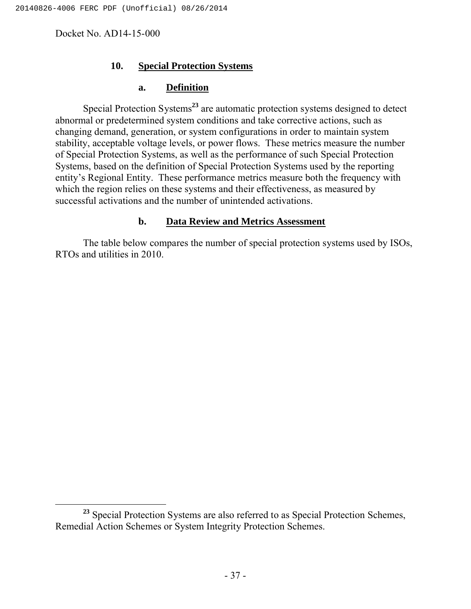## **10. Special Protection Systems**

#### **a. Definition**

Special Protection Systems**<sup>23</sup>** are automatic protection systems designed to detect abnormal or predetermined system conditions and take corrective actions, such as changing demand, generation, or system configurations in order to maintain system stability, acceptable voltage levels, or power flows. These metrics measure the number of Special Protection Systems, as well as the performance of such Special Protection Systems, based on the definition of Special Protection Systems used by the reporting entity's Regional Entity. These performance metrics measure both the frequency with which the region relies on these systems and their effectiveness, as measured by successful activations and the number of unintended activations.

## **b. Data Review and Metrics Assessment**

The table below compares the number of special protection systems used by ISOs, RTOs and utilities in 2010.

**<sup>23</sup>** Special Protection Systems are also referred to as Special Protection Schemes, Remedial Action Schemes or System Integrity Protection Schemes.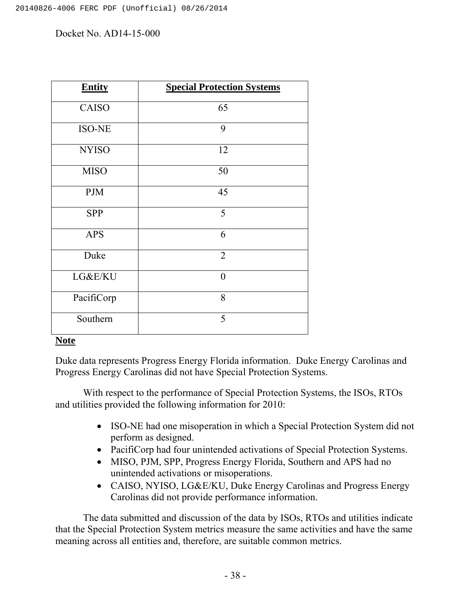| <b>Entity</b> | <b>Special Protection Systems</b> |  |  |  |  |
|---------------|-----------------------------------|--|--|--|--|
| CAISO         | 65                                |  |  |  |  |
| <b>ISO-NE</b> | 9                                 |  |  |  |  |
| <b>NYISO</b>  | 12                                |  |  |  |  |
| <b>MISO</b>   | 50                                |  |  |  |  |
| <b>PJM</b>    | 45                                |  |  |  |  |
| <b>SPP</b>    | 5                                 |  |  |  |  |
| <b>APS</b>    | 6                                 |  |  |  |  |
| Duke          | $\overline{2}$                    |  |  |  |  |
| LG&E/KU       | $\overline{0}$                    |  |  |  |  |
| PacifiCorp    | 8                                 |  |  |  |  |
| Southern      | 5                                 |  |  |  |  |

## **Note**

Duke data represents Progress Energy Florida information. Duke Energy Carolinas and Progress Energy Carolinas did not have Special Protection Systems.

With respect to the performance of Special Protection Systems, the ISOs, RTOs and utilities provided the following information for 2010:

- ISO-NE had one misoperation in which a Special Protection System did not perform as designed.
- PacifiCorp had four unintended activations of Special Protection Systems.
- MISO, PJM, SPP, Progress Energy Florida, Southern and APS had no unintended activations or misoperations.
- CAISO, NYISO, LG&E/KU, Duke Energy Carolinas and Progress Energy Carolinas did not provide performance information.

The data submitted and discussion of the data by ISOs, RTOs and utilities indicate that the Special Protection System metrics measure the same activities and have the same meaning across all entities and, therefore, are suitable common metrics.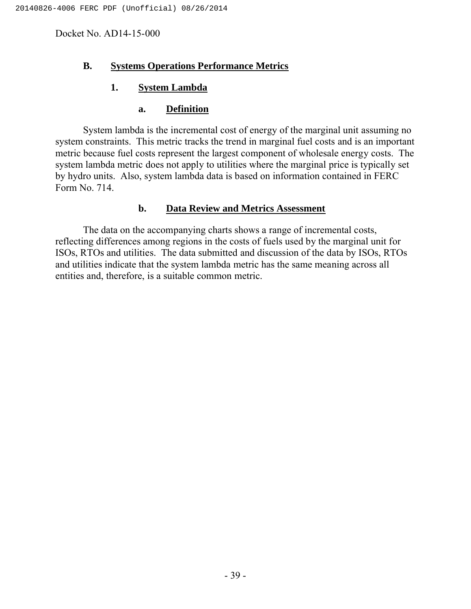## **B. Systems Operations Performance Metrics**

## **1. System Lambda**

#### **a. Definition**

System lambda is the incremental cost of energy of the marginal unit assuming no system constraints. This metric tracks the trend in marginal fuel costs and is an important metric because fuel costs represent the largest component of wholesale energy costs. The system lambda metric does not apply to utilities where the marginal price is typically set by hydro units. Also, system lambda data is based on information contained in FERC Form No. 714.

## **b. Data Review and Metrics Assessment**

The data on the accompanying charts shows a range of incremental costs, reflecting differences among regions in the costs of fuels used by the marginal unit for ISOs, RTOs and utilities. The data submitted and discussion of the data by ISOs, RTOs and utilities indicate that the system lambda metric has the same meaning across all entities and, therefore, is a suitable common metric.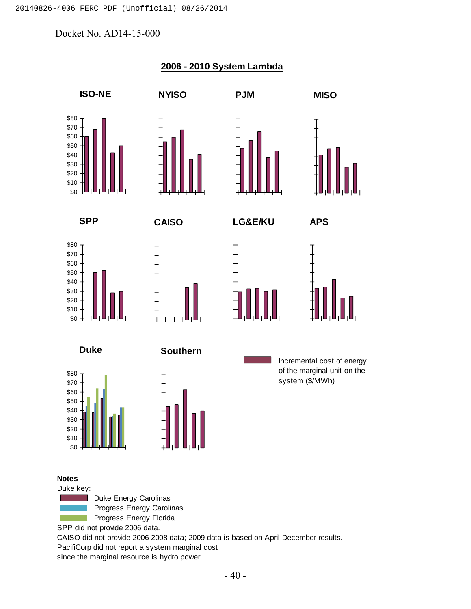

Progress Energy Carolinas Progress Energy Florida

SPP did not provide 2006 data.

CAISO did not provide 2006-2008 data; 2009 data is based on April-December results.

PacifiCorp did not report a system marginal cost

since the marginal resource is hydro power.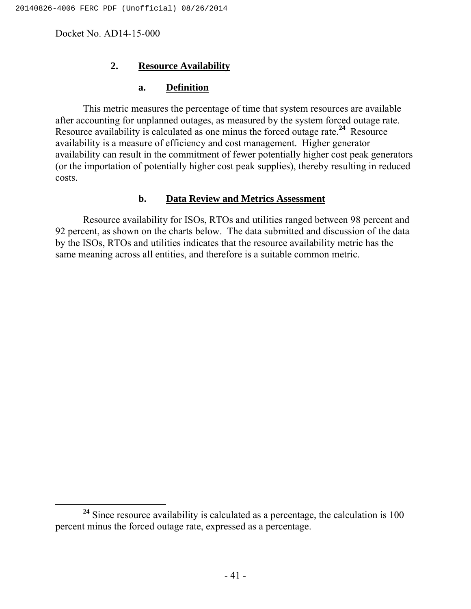## **2. Resource Availability**

#### **a. Definition**

This metric measures the percentage of time that system resources are available after accounting for unplanned outages, as measured by the system forced outage rate. Resource availability is calculated as one minus the forced outage rate.**<sup>24</sup>** Resource availability is a measure of efficiency and cost management. Higher generator availability can result in the commitment of fewer potentially higher cost peak generators (or the importation of potentially higher cost peak supplies), thereby resulting in reduced costs.

## **b. Data Review and Metrics Assessment**

Resource availability for ISOs, RTOs and utilities ranged between 98 percent and 92 percent, as shown on the charts below. The data submitted and discussion of the data by the ISOs, RTOs and utilities indicates that the resource availability metric has the same meaning across all entities, and therefore is a suitable common metric.

<sup>&</sup>lt;sup>24</sup> Since resource availability is calculated as a percentage, the calculation is 100 percent minus the forced outage rate, expressed as a percentage.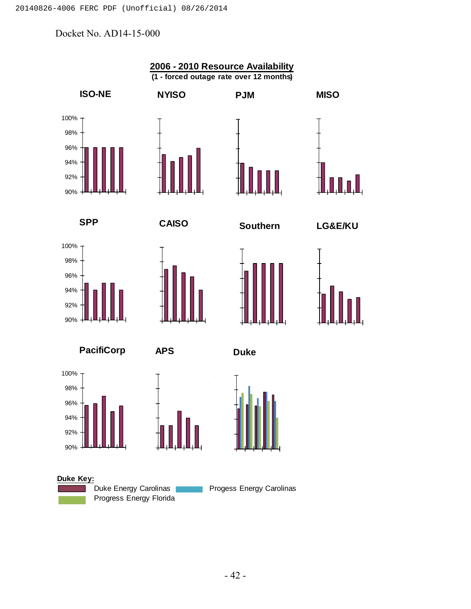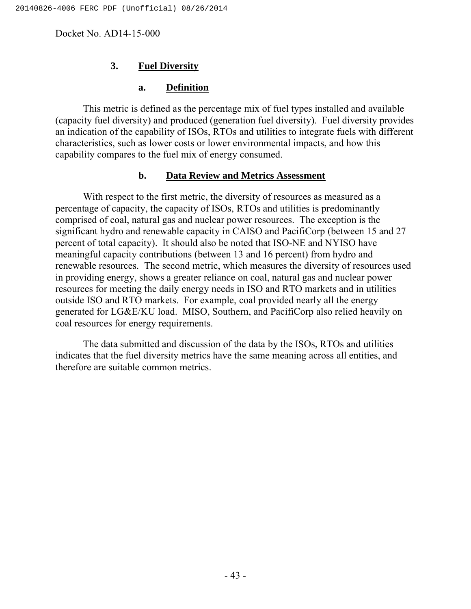## **3. Fuel Diversity**

#### **a. Definition**

This metric is defined as the percentage mix of fuel types installed and available (capacity fuel diversity) and produced (generation fuel diversity). Fuel diversity provides an indication of the capability of ISOs, RTOs and utilities to integrate fuels with different characteristics, such as lower costs or lower environmental impacts, and how this capability compares to the fuel mix of energy consumed.

#### **b. Data Review and Metrics Assessment**

With respect to the first metric, the diversity of resources as measured as a percentage of capacity, the capacity of ISOs, RTOs and utilities is predominantly comprised of coal, natural gas and nuclear power resources. The exception is the significant hydro and renewable capacity in CAISO and PacifiCorp (between 15 and 27 percent of total capacity). It should also be noted that ISO-NE and NYISO have meaningful capacity contributions (between 13 and 16 percent) from hydro and renewable resources. The second metric, which measures the diversity of resources used in providing energy, shows a greater reliance on coal, natural gas and nuclear power resources for meeting the daily energy needs in ISO and RTO markets and in utilities outside ISO and RTO markets. For example, coal provided nearly all the energy generated for LG&E/KU load. MISO, Southern, and PacifiCorp also relied heavily on coal resources for energy requirements.

The data submitted and discussion of the data by the ISOs, RTOs and utilities indicates that the fuel diversity metrics have the same meaning across all entities, and therefore are suitable common metrics.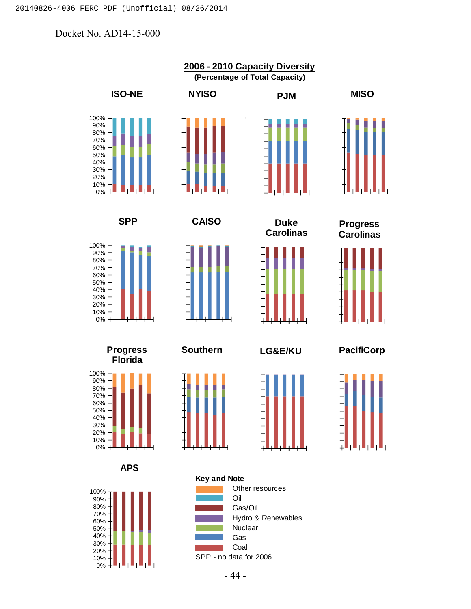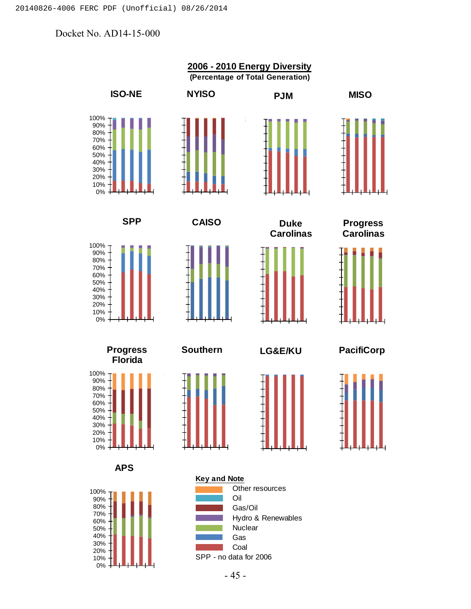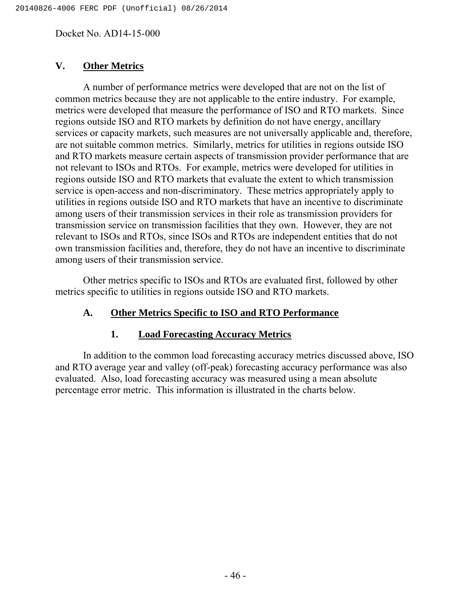# **V. Other Metrics**

A number of performance metrics were developed that are not on the list of common metrics because they are not applicable to the entire industry. For example, metrics were developed that measure the performance of ISO and RTO markets. Since regions outside ISO and RTO markets by definition do not have energy, ancillary services or capacity markets, such measures are not universally applicable and, therefore, are not suitable common metrics. Similarly, metrics for utilities in regions outside ISO and RTO markets measure certain aspects of transmission provider performance that are not relevant to ISOs and RTOs. For example, metrics were developed for utilities in regions outside ISO and RTO markets that evaluate the extent to which transmission service is open-access and non-discriminatory. These metrics appropriately apply to utilities in regions outside ISO and RTO markets that have an incentive to discriminate among users of their transmission services in their role as transmission providers for transmission service on transmission facilities that they own. However, they are not relevant to ISOs and RTOs, since ISOs and RTOs are independent entities that do not own transmission facilities and, therefore, they do not have an incentive to discriminate among users of their transmission service.

Other metrics specific to ISOs and RTOs are evaluated first, followed by other metrics specific to utilities in regions outside ISO and RTO markets.

# **A. Other Metrics Specific to ISO and RTO Performance**

# **1. Load Forecasting Accuracy Metrics**

In addition to the common load forecasting accuracy metrics discussed above, ISO and RTO average year and valley (off-peak) forecasting accuracy performance was also evaluated. Also, load forecasting accuracy was measured using a mean absolute percentage error metric. This information is illustrated in the charts below.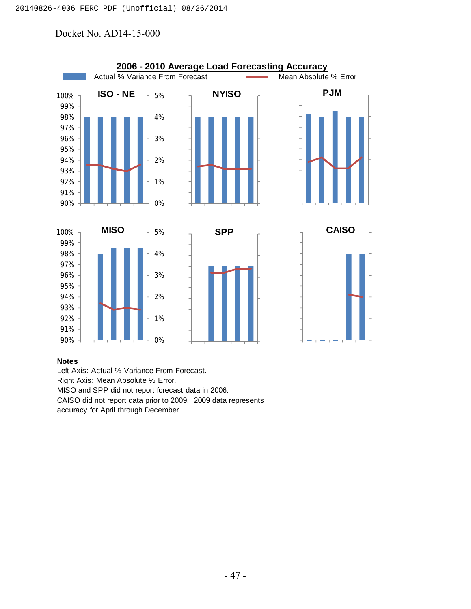

#### **Notes**

Left Axis: Actual % Variance From Forecast. Right Axis: Mean Absolute % Error. MISO and SPP did not report forecast data in 2006. CAISO did not report data prior to 2009. 2009 data represents accuracy for April through December.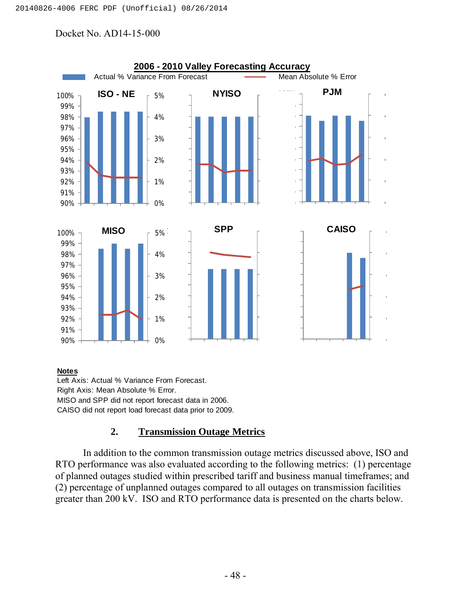

#### **Notes**

Left Axis: Actual % Variance From Forecast. Right Axis: Mean Absolute % Error. MISO and SPP did not report forecast data in 2006. CAISO did not report load forecast data prior to 2009.

# **2. Transmission Outage Metrics**

In addition to the common transmission outage metrics discussed above, ISO and RTO performance was also evaluated according to the following metrics: (1) percentage of planned outages studied within prescribed tariff and business manual timeframes; and (2) percentage of unplanned outages compared to all outages on transmission facilities greater than 200 kV. ISO and RTO performance data is presented on the charts below.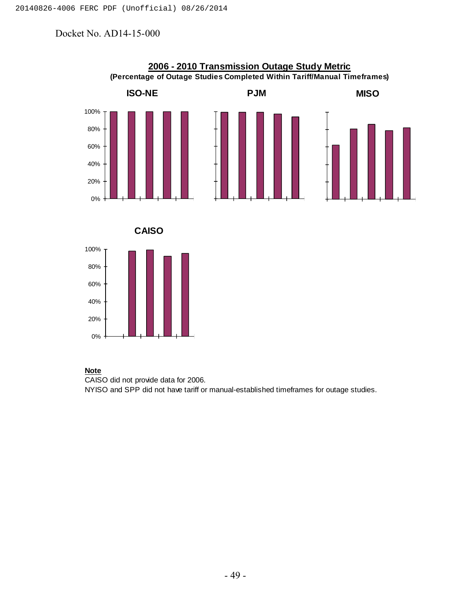

#### **Note**

CAISO did not provide data for 2006. NYISO and SPP did not have tariff or manual-established timeframes for outage studies.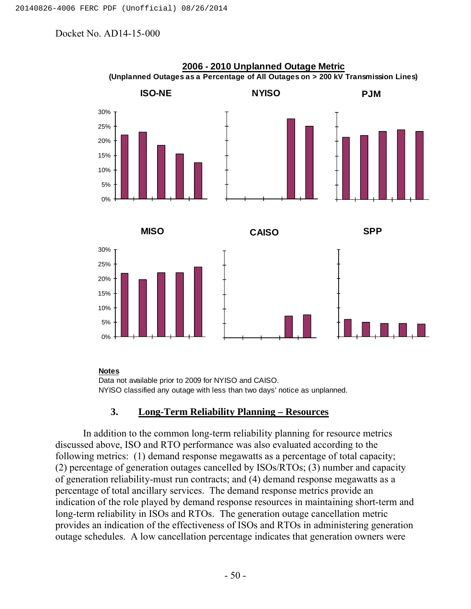

#### **2006 - 2010 Unplanned Outage Metric (Unplanned Outages as a Percentage of All Outages on > 200 kV Transmission Lines)**

#### **Notes**

Data not available prior to 2009 for NYISO and CAISO. NYISO classified any outage with less than two days' notice as unplanned.

## **3. Long-Term Reliability Planning – Resources**

In addition to the common long-term reliability planning for resource metrics discussed above, ISO and RTO performance was also evaluated according to the following metrics: (1) demand response megawatts as a percentage of total capacity; (2) percentage of generation outages cancelled by ISOs/RTOs; (3) number and capacity of generation reliability-must run contracts; and (4) demand response megawatts as a percentage of total ancillary services. The demand response metrics provide an indication of the role played by demand response resources in maintaining short-term and long-term reliability in ISOs and RTOs. The generation outage cancellation metric provides an indication of the effectiveness of ISOs and RTOs in administering generation outage schedules. A low cancellation percentage indicates that generation owners were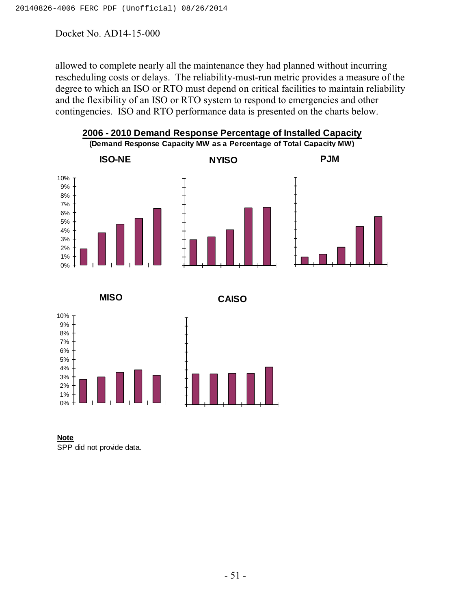allowed to complete nearly all the maintenance they had planned without incurring rescheduling costs or delays. The reliability-must-run metric provides a measure of the degree to which an ISO or RTO must depend on critical facilities to maintain reliability and the flexibility of an ISO or RTO system to respond to emergencies and other contingencies. ISO and RTO performance data is presented on the charts below.





**Note** SPP did not provide data.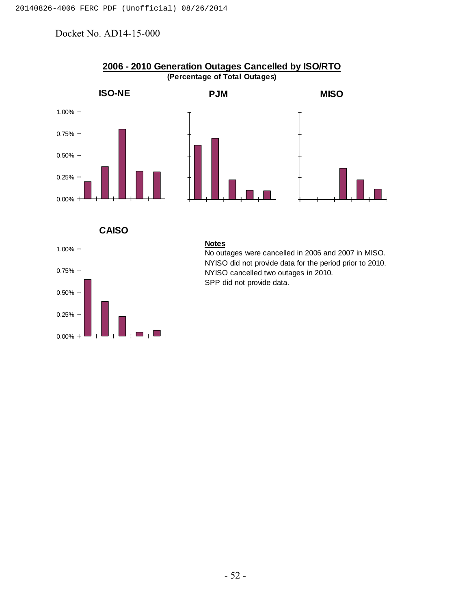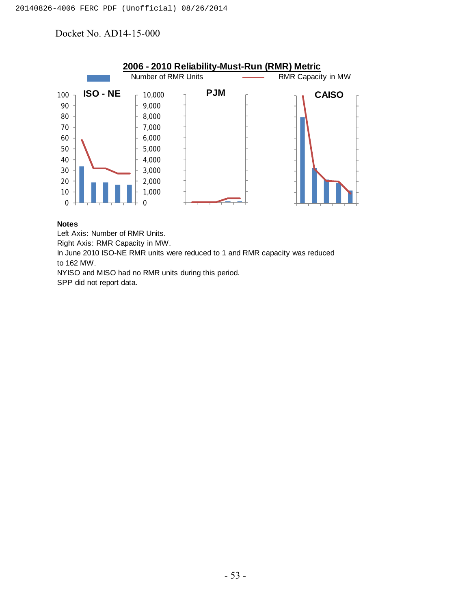

#### **Notes**

Left Axis: Number of RMR Units.

Right Axis: RMR Capacity in MW.

In June 2010 ISO-NE RMR units were reduced to 1 and RMR capacity was reduced to 162 MW.

NYISO and MISO had no RMR units during this period.

SPP did not report data.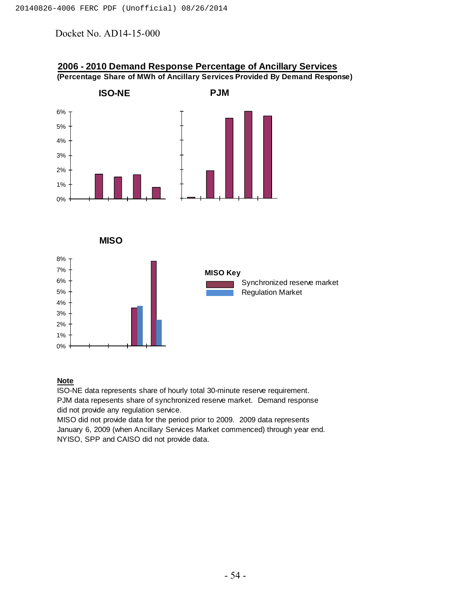

#### **2006 - 2010 Demand Response Percentage of Ancillary Services (Percentage Share of MWh of Ancillary Services Provided By Demand Response)**

#### **Note**

ISO-NE data represents share of hourly total 30-minute reserve requirement. PJM data repesents share of synchronized reserve market. Demand response did not provide any regulation service.

MISO did not provide data for the period prior to 2009. 2009 data represents January 6, 2009 (when Ancillary Services Market commenced) through year end. NYISO, SPP and CAISO did not provide data.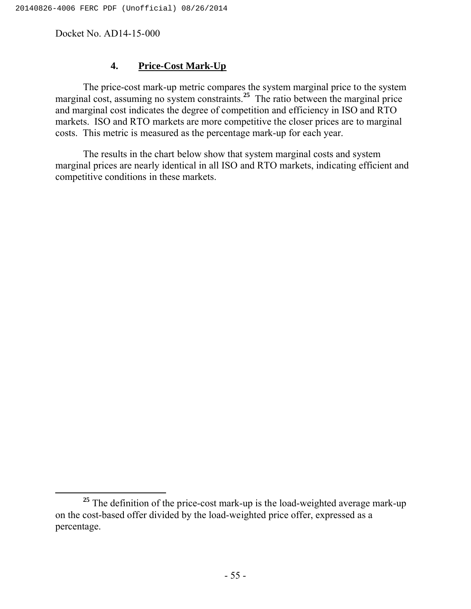# **4. Price-Cost Mark-Up**

The price-cost mark-up metric compares the system marginal price to the system marginal cost, assuming no system constraints.**<sup>25</sup>** The ratio between the marginal price and marginal cost indicates the degree of competition and efficiency in ISO and RTO markets. ISO and RTO markets are more competitive the closer prices are to marginal costs. This metric is measured as the percentage mark-up for each year.

The results in the chart below show that system marginal costs and system marginal prices are nearly identical in all ISO and RTO markets, indicating efficient and competitive conditions in these markets.

<sup>&</sup>lt;sup>25</sup> The definition of the price-cost mark-up is the load-weighted average mark-up on the cost-based offer divided by the load-weighted price offer, expressed as a percentage.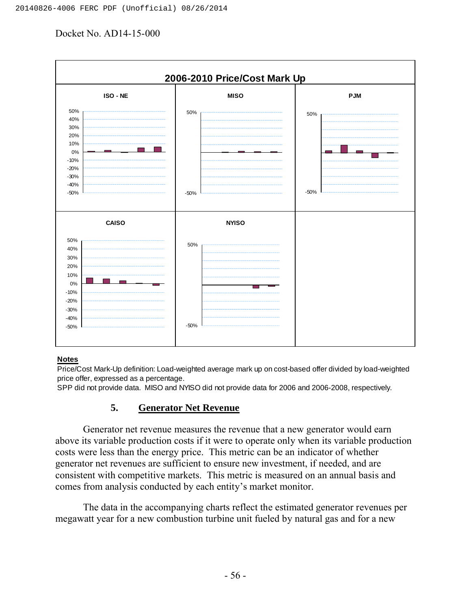

#### **Notes**

Price/Cost Mark-Up definition: Load-weighted average mark up on cost-based offer divided by load-weighted price offer, expressed as a percentage.

SPP did not provide data. MISO and NYISO did not provide data for 2006 and 2006-2008, respectively.

#### **5. Generator Net Revenue**

Generator net revenue measures the revenue that a new generator would earn above its variable production costs if it were to operate only when its variable production costs were less than the energy price. This metric can be an indicator of whether generator net revenues are sufficient to ensure new investment, if needed, and are consistent with competitive markets. This metric is measured on an annual basis and comes from analysis conducted by each entity's market monitor.

The data in the accompanying charts reflect the estimated generator revenues per megawatt year for a new combustion turbine unit fueled by natural gas and for a new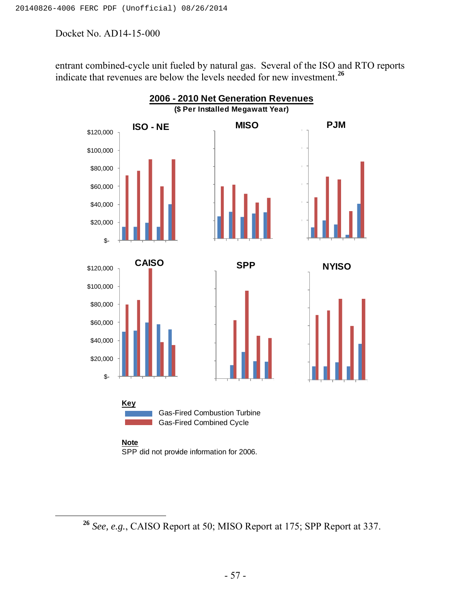entrant combined-cycle unit fueled by natural gas. Several of the ISO and RTO reports indicate that revenues are below the levels needed for new investment.**<sup>26</sup>**



**<sup>26</sup>** *See, e.g.*, CAISO Report at 50; MISO Report at 175; SPP Report at 337.

<sup>- 57 -</sup>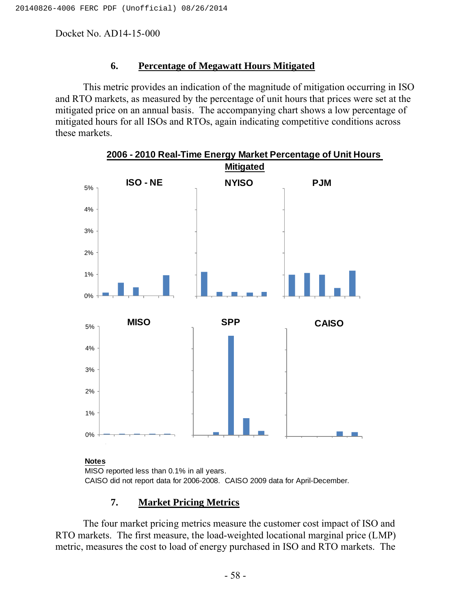# **6. Percentage of Megawatt Hours Mitigated**

This metric provides an indication of the magnitude of mitigation occurring in ISO and RTO markets, as measured by the percentage of unit hours that prices were set at the mitigated price on an annual basis. The accompanying chart shows a low percentage of mitigated hours for all ISOs and RTOs, again indicating competitive conditions across these markets.



**2006 - 2010 Real-Time Energy Market Percentage of Unit Hours** 

MISO reported less than 0.1% in all years. CAISO did not report data for 2006-2008. CAISO 2009 data for April-December.

# **7. Market Pricing Metrics**

The four market pricing metrics measure the customer cost impact of ISO and RTO markets. The first measure, the load-weighted locational marginal price (LMP) metric, measures the cost to load of energy purchased in ISO and RTO markets. The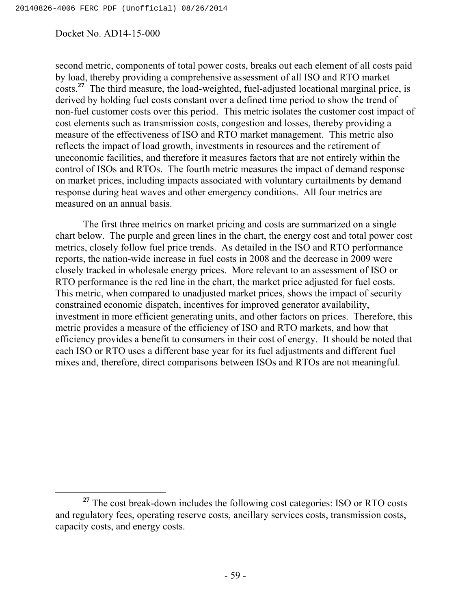second metric, components of total power costs, breaks out each element of all costs paid by load, thereby providing a comprehensive assessment of all ISO and RTO market costs.**<sup>27</sup>** The third measure, the load-weighted, fuel-adjusted locational marginal price, is derived by holding fuel costs constant over a defined time period to show the trend of non-fuel customer costs over this period. This metric isolates the customer cost impact of cost elements such as transmission costs, congestion and losses, thereby providing a measure of the effectiveness of ISO and RTO market management. This metric also reflects the impact of load growth, investments in resources and the retirement of uneconomic facilities, and therefore it measures factors that are not entirely within the control of ISOs and RTOs. The fourth metric measures the impact of demand response on market prices, including impacts associated with voluntary curtailments by demand response during heat waves and other emergency conditions. All four metrics are measured on an annual basis.

The first three metrics on market pricing and costs are summarized on a single chart below. The purple and green lines in the chart, the energy cost and total power cost metrics, closely follow fuel price trends. As detailed in the ISO and RTO performance reports, the nation-wide increase in fuel costs in 2008 and the decrease in 2009 were closely tracked in wholesale energy prices. More relevant to an assessment of ISO or RTO performance is the red line in the chart, the market price adjusted for fuel costs. This metric, when compared to unadjusted market prices, shows the impact of security constrained economic dispatch, incentives for improved generator availability, investment in more efficient generating units, and other factors on prices. Therefore, this metric provides a measure of the efficiency of ISO and RTO markets, and how that efficiency provides a benefit to consumers in their cost of energy. It should be noted that each ISO or RTO uses a different base year for its fuel adjustments and different fuel mixes and, therefore, direct comparisons between ISOs and RTOs are not meaningful.

<sup>&</sup>lt;sup>27</sup> The cost break-down includes the following cost categories: ISO or RTO costs and regulatory fees, operating reserve costs, ancillary services costs, transmission costs, capacity costs, and energy costs.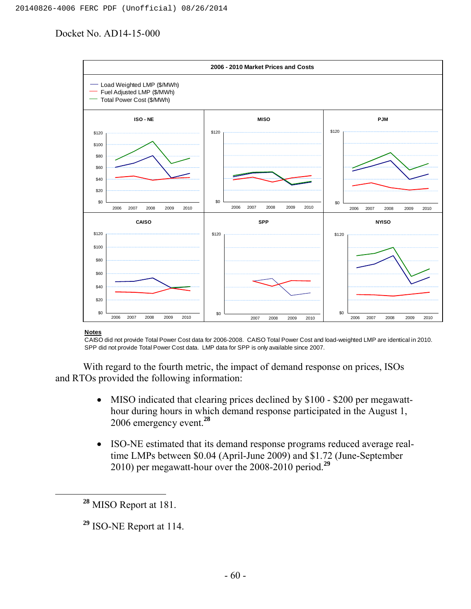

**Notes**

CAISO did not provide Total Power Cost data for 2006-2008. CAISO Total Power Cost and load-weighted LMP are identical in 2010. SPP did not provide Total Power Cost data. LMP data for SPP is only available since 2007.

With regard to the fourth metric, the impact of demand response on prices, ISOs and RTOs provided the following information:

- MISO indicated that clearing prices declined by \$100 \$200 per megawatthour during hours in which demand response participated in the August 1, 2006 emergency event.**<sup>28</sup>**
- ISO-NE estimated that its demand response programs reduced average realtime LMPs between \$0.04 (April-June 2009) and \$1.72 (June-September 2010) per megawatt-hour over the 2008-2010 period.**<sup>29</sup>**

**<sup>28</sup>** MISO Report at 181.

**<sup>29</sup>** ISO-NE Report at 114.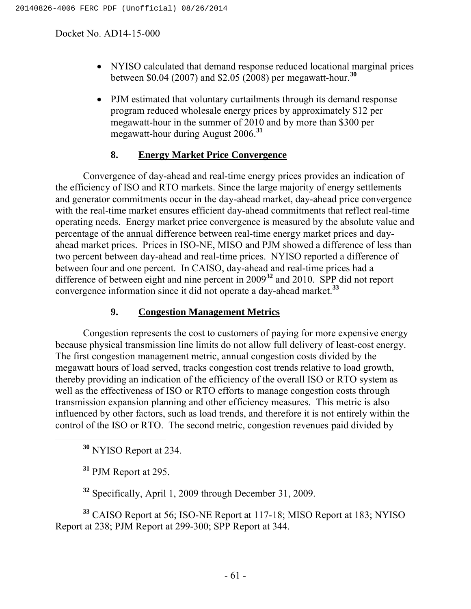- NYISO calculated that demand response reduced locational marginal prices between \$0.04 (2007) and \$2.05 (2008) per megawatt-hour.**<sup>30</sup>**
- PJM estimated that voluntary curtailments through its demand response program reduced wholesale energy prices by approximately \$12 per megawatt-hour in the summer of 2010 and by more than \$300 per megawatt-hour during August 2006.**<sup>31</sup>**

# **8. Energy Market Price Convergence**

Convergence of day-ahead and real-time energy prices provides an indication of the efficiency of ISO and RTO markets. Since the large majority of energy settlements and generator commitments occur in the day-ahead market, day-ahead price convergence with the real-time market ensures efficient day-ahead commitments that reflect real-time operating needs. Energy market price convergence is measured by the absolute value and percentage of the annual difference between real-time energy market prices and dayahead market prices. Prices in ISO-NE, MISO and PJM showed a difference of less than two percent between day-ahead and real-time prices. NYISO reported a difference of between four and one percent. In CAISO, day-ahead and real-time prices had a difference of between eight and nine percent in 2009**<sup>32</sup>** and 2010. SPP did not report convergence information since it did not operate a day-ahead market.**<sup>33</sup>**

# **9. Congestion Management Metrics**

Congestion represents the cost to customers of paying for more expensive energy because physical transmission line limits do not allow full delivery of least-cost energy. The first congestion management metric, annual congestion costs divided by the megawatt hours of load served, tracks congestion cost trends relative to load growth, thereby providing an indication of the efficiency of the overall ISO or RTO system as well as the effectiveness of ISO or RTO efforts to manage congestion costs through transmission expansion planning and other efficiency measures. This metric is also influenced by other factors, such as load trends, and therefore it is not entirely within the control of the ISO or RTO. The second metric, congestion revenues paid divided by

**<sup>30</sup>** NYISO Report at 234.

**<sup>31</sup>** PJM Report at 295.

**<sup>32</sup>** Specifically, April 1, 2009 through December 31, 2009.

**<sup>33</sup>** CAISO Report at 56; ISO-NE Report at 117-18; MISO Report at 183; NYISO Report at 238; PJM Report at 299-300; SPP Report at 344.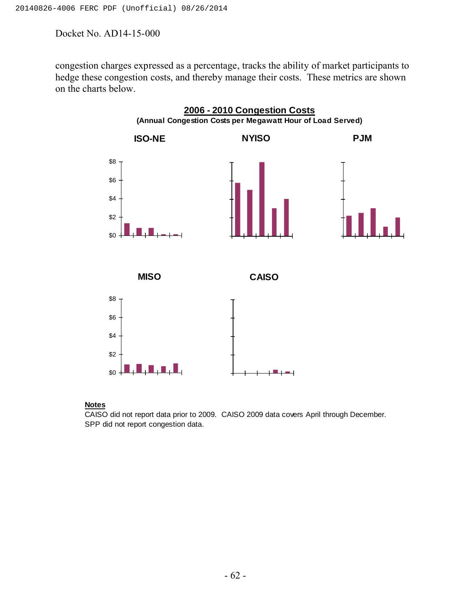congestion charges expressed as a percentage, tracks the ability of market participants to hedge these congestion costs, and thereby manage their costs. These metrics are shown on the charts below.



#### **Notes**

CAISO did not report data prior to 2009. CAISO 2009 data covers April through December. SPP did not report congestion data.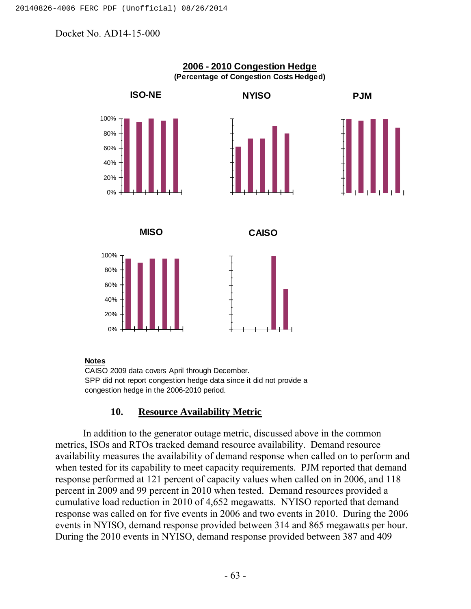

#### **Notes**

CAISO 2009 data covers April through December. SPP did not report congestion hedge data since it did not provide a congestion hedge in the 2006-2010 period.

## **10. Resource Availability Metric**

In addition to the generator outage metric, discussed above in the common metrics, ISOs and RTOs tracked demand resource availability. Demand resource availability measures the availability of demand response when called on to perform and when tested for its capability to meet capacity requirements. PJM reported that demand response performed at 121 percent of capacity values when called on in 2006, and 118 percent in 2009 and 99 percent in 2010 when tested. Demand resources provided a cumulative load reduction in 2010 of 4,652 megawatts. NYISO reported that demand response was called on for five events in 2006 and two events in 2010. During the 2006 events in NYISO, demand response provided between 314 and 865 megawatts per hour. During the 2010 events in NYISO, demand response provided between 387 and 409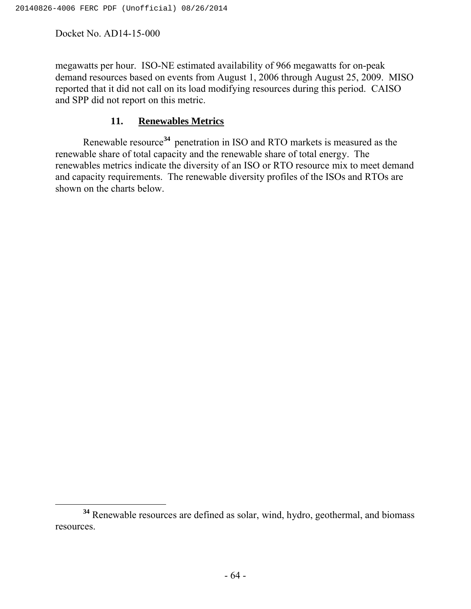megawatts per hour. ISO-NE estimated availability of 966 megawatts for on-peak demand resources based on events from August 1, 2006 through August 25, 2009. MISO reported that it did not call on its load modifying resources during this period. CAISO and SPP did not report on this metric.

## **11. Renewables Metrics**

Renewable resource**<sup>34</sup>** penetration in ISO and RTO markets is measured as the renewable share of total capacity and the renewable share of total energy. The renewables metrics indicate the diversity of an ISO or RTO resource mix to meet demand and capacity requirements. The renewable diversity profiles of the ISOs and RTOs are shown on the charts below.

**<sup>34</sup>** Renewable resources are defined as solar, wind, hydro, geothermal, and biomass resources.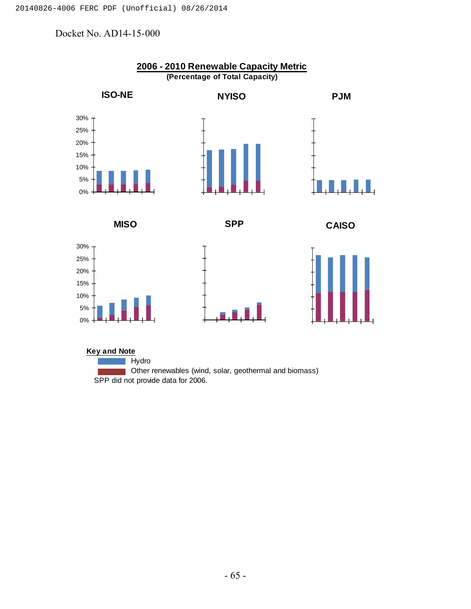

Hydro **Other renewables (wind, solar, geothermal and biomass)** SPP did not provide data for 2006.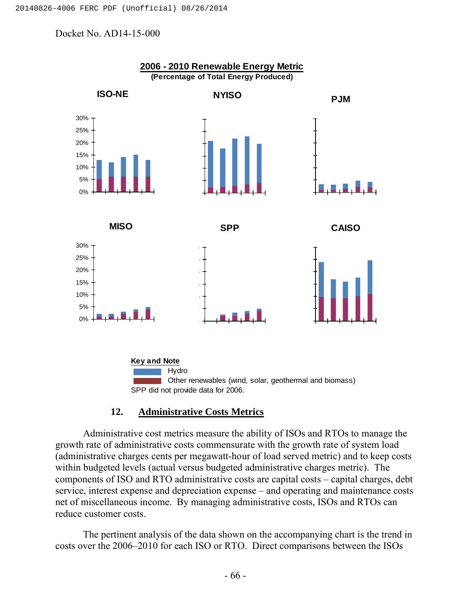

## **12. Administrative Costs Metrics**

Administrative cost metrics measure the ability of ISOs and RTOs to manage the growth rate of administrative costs commensurate with the growth rate of system load (administrative charges cents per megawatt-hour of load served metric) and to keep costs within budgeted levels (actual versus budgeted administrative charges metric). The components of ISO and RTO administrative costs are capital costs – capital charges, debt service, interest expense and depreciation expense – and operating and maintenance costs net of miscellaneous income. By managing administrative costs, ISOs and RTOs can reduce customer costs.

The pertinent analysis of the data shown on the accompanying chart is the trend in costs over the 2006–2010 for each ISO or RTO. Direct comparisons between the ISOs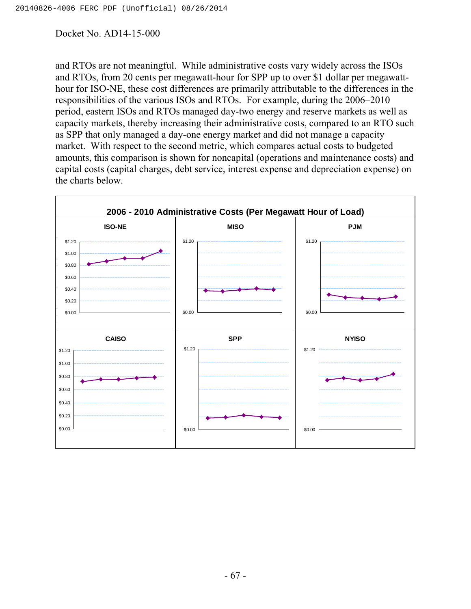and RTOs are not meaningful. While administrative costs vary widely across the ISOs and RTOs, from 20 cents per megawatt-hour for SPP up to over \$1 dollar per megawatthour for ISO-NE, these cost differences are primarily attributable to the differences in the responsibilities of the various ISOs and RTOs. For example, during the 2006–2010 period, eastern ISOs and RTOs managed day-two energy and reserve markets as well as capacity markets, thereby increasing their administrative costs, compared to an RTO such as SPP that only managed a day-one energy market and did not manage a capacity market. With respect to the second metric, which compares actual costs to budgeted amounts, this comparison is shown for noncapital (operations and maintenance costs) and capital costs (capital charges, debt service, interest expense and depreciation expense) on the charts below.

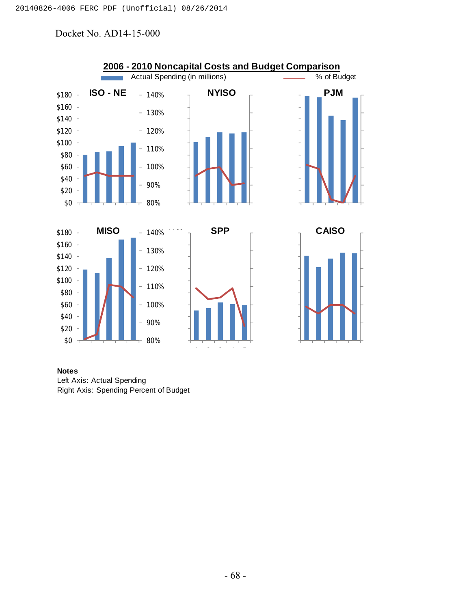

**Notes** Left Axis: Actual Spending Right Axis: Spending Percent of Budget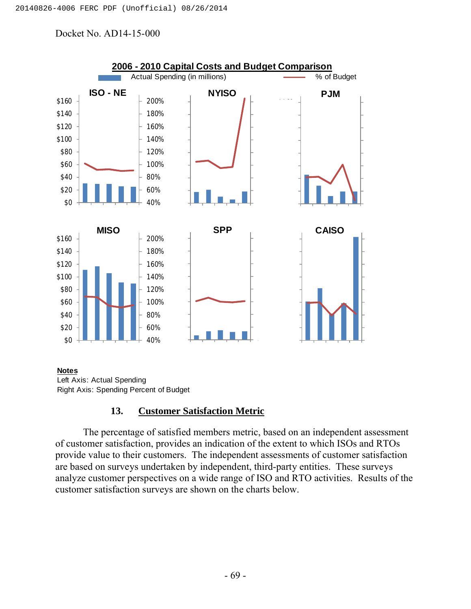

#### **Notes**

Left Axis: Actual Spending Right Axis: Spending Percent of Budget

## **13. Customer Satisfaction Metric**

The percentage of satisfied members metric, based on an independent assessment of customer satisfaction, provides an indication of the extent to which ISOs and RTOs provide value to their customers. The independent assessments of customer satisfaction are based on surveys undertaken by independent, third-party entities. These surveys analyze customer perspectives on a wide range of ISO and RTO activities. Results of the customer satisfaction surveys are shown on the charts below.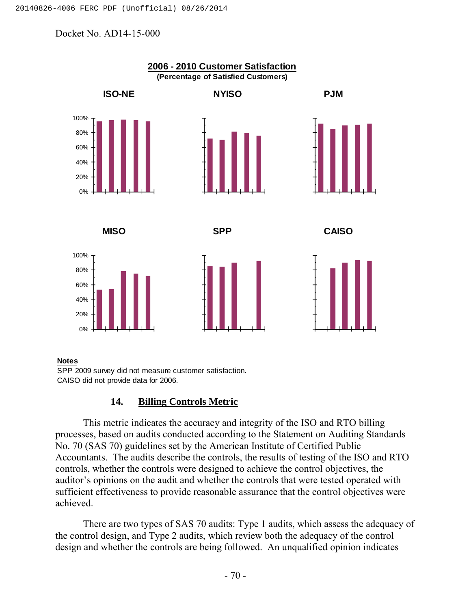

#### **Notes**

SPP 2009 survey did not measure customer satisfaction. CAISO did not provide data for 2006.

## **14. Billing Controls Metric**

This metric indicates the accuracy and integrity of the ISO and RTO billing processes, based on audits conducted according to the Statement on Auditing Standards No. 70 (SAS 70) guidelines set by the American Institute of Certified Public Accountants. The audits describe the controls, the results of testing of the ISO and RTO controls, whether the controls were designed to achieve the control objectives, the auditor's opinions on the audit and whether the controls that were tested operated with sufficient effectiveness to provide reasonable assurance that the control objectives were achieved.

There are two types of SAS 70 audits: Type 1 audits, which assess the adequacy of the control design, and Type 2 audits, which review both the adequacy of the control design and whether the controls are being followed. An unqualified opinion indicates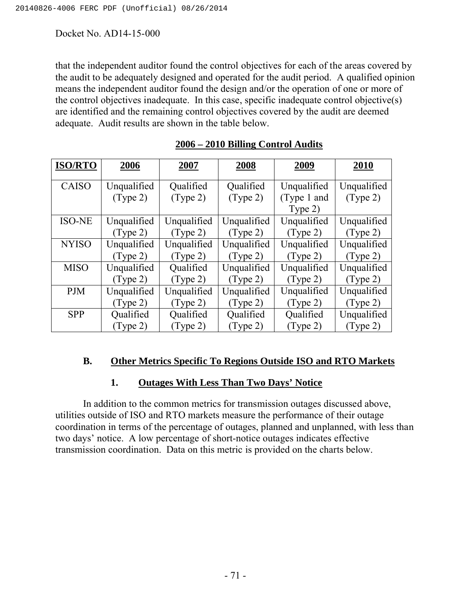that the independent auditor found the control objectives for each of the areas covered by the audit to be adequately designed and operated for the audit period. A qualified opinion means the independent auditor found the design and/or the operation of one or more of the control objectives inadequate. In this case, specific inadequate control objective(s) are identified and the remaining control objectives covered by the audit are deemed adequate. Audit results are shown in the table below.

| <b>ISO/RTO</b> | 2006              | 2007              | 2008              | 2009        | 2010        |
|----------------|-------------------|-------------------|-------------------|-------------|-------------|
| <b>CAISO</b>   | Unqualified       | Qualified         | Qualified         | Unqualified | Unqualified |
|                | $(\text{Type 2})$ | $(\text{Type 2})$ | $(\text{Type 2})$ | (Type 1 and | (Type 2)    |
|                |                   |                   |                   | Type 2)     |             |
| <b>ISO-NE</b>  | Unqualified       | Unqualified       | Unqualified       | Unqualified | Unqualified |
|                | (Type 2)          | (Type 2)          | (Type 2)          | (Type 2)    | (Type 2)    |
| <b>NYISO</b>   | Unqualified       | Unqualified       | Unqualified       | Unqualified | Unqualified |
|                | (Type 2)          | (Type 2)          | (Type 2)          | (Type 2)    | (Type 2)    |
| <b>MISO</b>    | Unqualified       | Qualified         | Unqualified       | Unqualified | Unqualified |
|                | (Type 2)          | (Type 2)          | (Type 2)          | (Type 2)    | (Type 2)    |
| <b>PJM</b>     | Unqualified       | Unqualified       | Unqualified       | Unqualified | Unqualified |
|                | (Type 2)          | (Type 2)          | (Type 2)          | (Type 2)    | (Type 2)    |
| <b>SPP</b>     | Qualified         | Qualified         | Qualified         | Qualified   | Unqualified |
|                | (Type 2)          | (Type 2)          | (Type 2)          | (Type 2)    | (Type 2)    |

## **2006 – 2010 Billing Control Audits**

# **B. Other Metrics Specific To Regions Outside ISO and RTO Markets**

## **1. Outages With Less Than Two Days' Notice**

In addition to the common metrics for transmission outages discussed above, utilities outside of ISO and RTO markets measure the performance of their outage coordination in terms of the percentage of outages, planned and unplanned, with less than two days' notice. A low percentage of short-notice outages indicates effective transmission coordination. Data on this metric is provided on the charts below.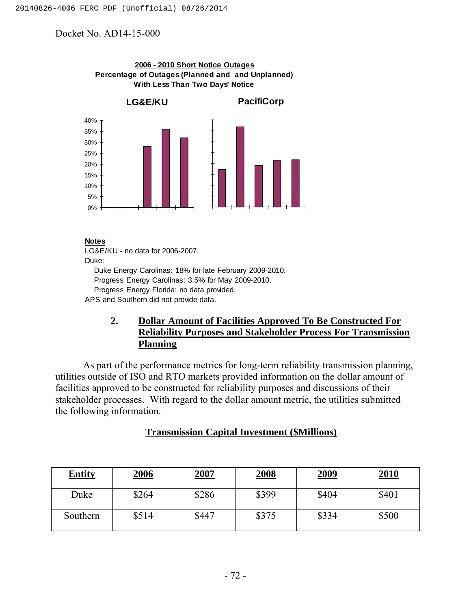

**2006 - 2010 Short Notice Outages**

#### **Notes**

LG&E/KU - no data for 2006-2007. Duke: Duke Energy Carolinas: 18% for late February 2009-2010. Progress Energy Carolinas: 3.5% for May 2009-2010. Progress Energy Florida: no data provided. APS and Southern did not provide data.

# **2. Dollar Amount of Facilities Approved To Be Constructed For Reliability Purposes and Stakeholder Process For Transmission Planning**

As part of the performance metrics for long-term reliability transmission planning, utilities outside of ISO and RTO markets provided information on the dollar amount of facilities approved to be constructed for reliability purposes and discussions of their stakeholder processes. With regard to the dollar amount metric, the utilities submitted the following information.

| <b>Entity</b> | <b>2006</b> | 2007  | <b>2008</b> | <b>2009</b> | <b>2010</b> |
|---------------|-------------|-------|-------------|-------------|-------------|
| Duke          | \$264       | \$286 | \$399       | \$404       | \$401       |
| Southern      | \$514       | \$447 | \$375       | \$334       | \$500       |

## **Transmission Capital Investment (\$Millions)**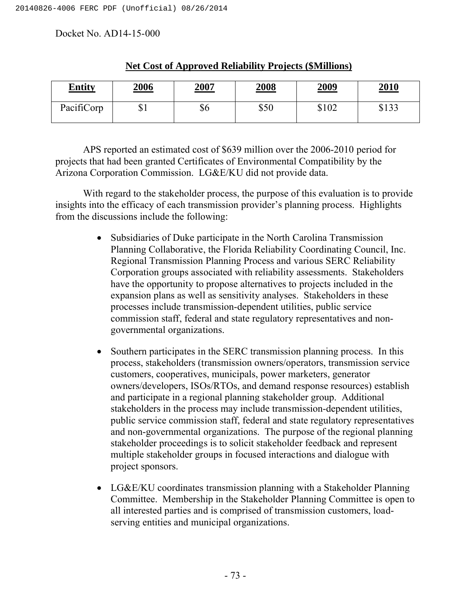| <b>Entity</b> | <u>2006</u> | 2007 | <u>2008</u> | <u>2009</u> | 2010  |
|---------------|-------------|------|-------------|-------------|-------|
| PacifiCorp    | ΦI          | ১০   | \$50        | \$102       | \$133 |

#### **Net Cost of Approved Reliability Projects (\$Millions)**

APS reported an estimated cost of \$639 million over the 2006-2010 period for projects that had been granted Certificates of Environmental Compatibility by the Arizona Corporation Commission. LG&E/KU did not provide data.

With regard to the stakeholder process, the purpose of this evaluation is to provide insights into the efficacy of each transmission provider's planning process. Highlights from the discussions include the following:

- Subsidiaries of Duke participate in the North Carolina Transmission Planning Collaborative, the Florida Reliability Coordinating Council, Inc. Regional Transmission Planning Process and various SERC Reliability Corporation groups associated with reliability assessments. Stakeholders have the opportunity to propose alternatives to projects included in the expansion plans as well as sensitivity analyses. Stakeholders in these processes include transmission-dependent utilities, public service commission staff, federal and state regulatory representatives and nongovernmental organizations.
- Southern participates in the SERC transmission planning process. In this process, stakeholders (transmission owners/operators, transmission service customers, cooperatives, municipals, power marketers, generator owners/developers, ISOs/RTOs, and demand response resources) establish and participate in a regional planning stakeholder group. Additional stakeholders in the process may include transmission-dependent utilities, public service commission staff, federal and state regulatory representatives and non-governmental organizations. The purpose of the regional planning stakeholder proceedings is to solicit stakeholder feedback and represent multiple stakeholder groups in focused interactions and dialogue with project sponsors.
- LG&E/KU coordinates transmission planning with a Stakeholder Planning Committee. Membership in the Stakeholder Planning Committee is open to all interested parties and is comprised of transmission customers, loadserving entities and municipal organizations.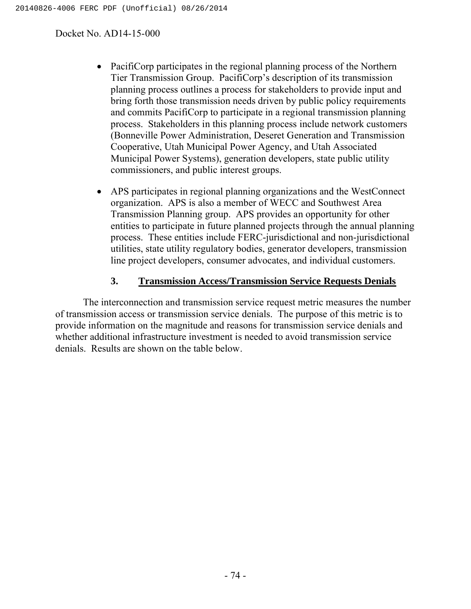- Pacificorp participates in the regional planning process of the Northern Tier Transmission Group. PacifiCorp's description of its transmission planning process outlines a process for stakeholders to provide input and bring forth those transmission needs driven by public policy requirements and commits PacifiCorp to participate in a regional transmission planning process. Stakeholders in this planning process include network customers (Bonneville Power Administration, Deseret Generation and Transmission Cooperative, Utah Municipal Power Agency, and Utah Associated Municipal Power Systems), generation developers, state public utility commissioners, and public interest groups.
- APS participates in regional planning organizations and the WestConnect organization. APS is also a member of WECC and Southwest Area Transmission Planning group. APS provides an opportunity for other entities to participate in future planned projects through the annual planning process. These entities include FERC-jurisdictional and non-jurisdictional utilities, state utility regulatory bodies, generator developers, transmission line project developers, consumer advocates, and individual customers.

## **3. Transmission Access/Transmission Service Requests Denials**

The interconnection and transmission service request metric measures the number of transmission access or transmission service denials. The purpose of this metric is to provide information on the magnitude and reasons for transmission service denials and whether additional infrastructure investment is needed to avoid transmission service denials. Results are shown on the table below.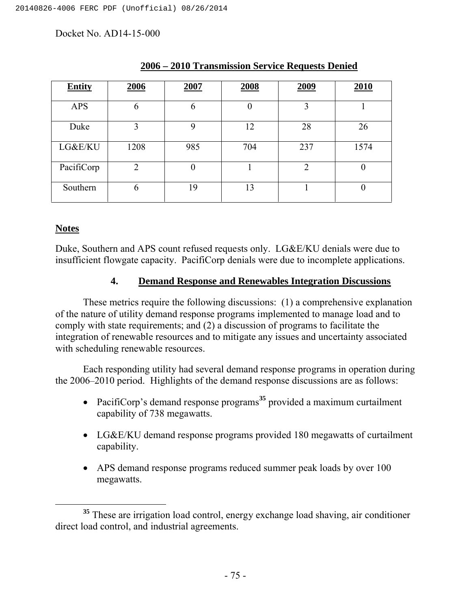| <b>Entity</b> | 2006           | 2007     | 2008           | 2009           | 2010             |
|---------------|----------------|----------|----------------|----------------|------------------|
| <b>APS</b>    | 6              | 6        | $\overline{0}$ | 3              |                  |
| Duke          | 3              | 9        | 12             | 28             | 26               |
| LG&E/KU       | 1208           | 985      | 704            | 237            | 1574             |
| PacifiCorp    | $\overline{2}$ | $\theta$ |                | $\overline{2}$ | $\left( \right)$ |
| Southern      | 6              | 19       | 13             |                | $\Omega$         |

## **2006 – 2010 Transmission Service Requests Denied**

## **Notes**

Duke, Southern and APS count refused requests only. LG&E/KU denials were due to insufficient flowgate capacity. PacifiCorp denials were due to incomplete applications.

## **4. Demand Response and Renewables Integration Discussions**

These metrics require the following discussions: (1) a comprehensive explanation of the nature of utility demand response programs implemented to manage load and to comply with state requirements; and (2) a discussion of programs to facilitate the integration of renewable resources and to mitigate any issues and uncertainty associated with scheduling renewable resources.

Each responding utility had several demand response programs in operation during the 2006–2010 period. Highlights of the demand response discussions are as follows:

- PacifiCorp's demand response programs<sup>35</sup> provided a maximum curtailment capability of 738 megawatts.
- LG&E/KU demand response programs provided 180 megawatts of curtailment capability.
- APS demand response programs reduced summer peak loads by over 100 megawatts.

**<sup>35</sup>** These are irrigation load control, energy exchange load shaving, air conditioner direct load control, and industrial agreements.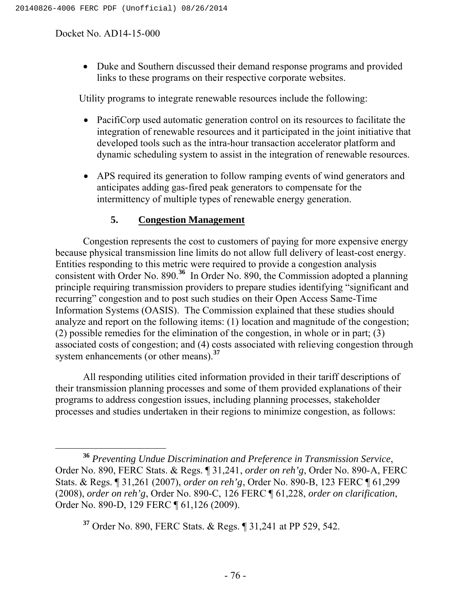Duke and Southern discussed their demand response programs and provided links to these programs on their respective corporate websites.

Utility programs to integrate renewable resources include the following:

- PacifiCorp used automatic generation control on its resources to facilitate the integration of renewable resources and it participated in the joint initiative that developed tools such as the intra-hour transaction accelerator platform and dynamic scheduling system to assist in the integration of renewable resources.
- APS required its generation to follow ramping events of wind generators and anticipates adding gas-fired peak generators to compensate for the intermittency of multiple types of renewable energy generation.

# **5. Congestion Management**

Congestion represents the cost to customers of paying for more expensive energy because physical transmission line limits do not allow full delivery of least-cost energy. Entities responding to this metric were required to provide a congestion analysis consistent with Order No. 890.**<sup>36</sup>** In Order No. 890, the Commission adopted a planning principle requiring transmission providers to prepare studies identifying "significant and recurring" congestion and to post such studies on their Open Access Same-Time Information Systems (OASIS). The Commission explained that these studies should analyze and report on the following items: (1) location and magnitude of the congestion; (2) possible remedies for the elimination of the congestion, in whole or in part; (3) associated costs of congestion; and (4) costs associated with relieving congestion through system enhancements (or other means).**<sup>37</sup>**

All responding utilities cited information provided in their tariff descriptions of their transmission planning processes and some of them provided explanations of their programs to address congestion issues, including planning processes, stakeholder processes and studies undertaken in their regions to minimize congestion, as follows:

**<sup>37</sup>** Order No. 890, FERC Stats. & Regs. ¶ 31,241 at PP 529, 542.

**<sup>36</sup>** *Preventing Undue Discrimination and Preference in Transmission Service*, Order No. 890, FERC Stats. & Regs. ¶ 31,241, *order on reh'g*, Order No. 890-A, FERC Stats. & Regs. ¶ 31,261 (2007), *order on reh'g*, Order No. 890-B, 123 FERC ¶ 61,299 (2008), *order on reh'g*, Order No. 890-C, 126 FERC ¶ 61,228, *order on clarification*, Order No. 890-D, 129 FERC ¶ 61,126 (2009).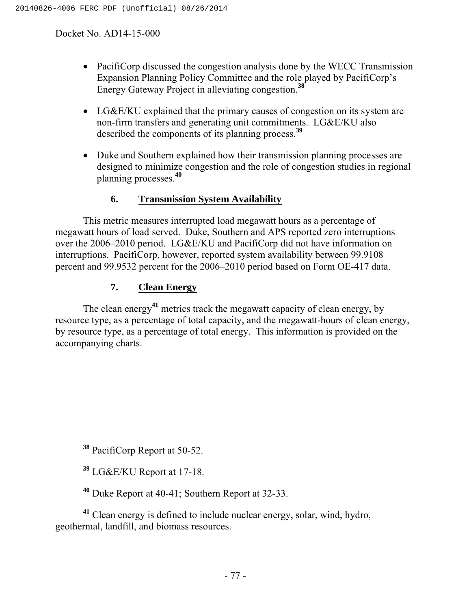- Pacificorp discussed the congestion analysis done by the WECC Transmission Expansion Planning Policy Committee and the role played by PacifiCorp's Energy Gateway Project in alleviating congestion.**<sup>38</sup>**
- LG&E/KU explained that the primary causes of congestion on its system are non-firm transfers and generating unit commitments. LG&E/KU also described the components of its planning process.**<sup>39</sup>**
- Duke and Southern explained how their transmission planning processes are designed to minimize congestion and the role of congestion studies in regional planning processes.**<sup>40</sup>**

# **6. Transmission System Availability**

This metric measures interrupted load megawatt hours as a percentage of megawatt hours of load served. Duke, Southern and APS reported zero interruptions over the 2006–2010 period. LG&E/KU and PacifiCorp did not have information on interruptions. PacifiCorp, however, reported system availability between 99.9108 percent and 99.9532 percent for the 2006–2010 period based on Form OE-417 data.

# **7. Clean Energy**

The clean energy**<sup>41</sup>** metrics track the megawatt capacity of clean energy, by resource type, as a percentage of total capacity, and the megawatt-hours of clean energy, by resource type, as a percentage of total energy. This information is provided on the accompanying charts.

**<sup>38</sup>** PacifiCorp Report at 50-52.

**<sup>39</sup>** LG&E/KU Report at 17-18.

**<sup>40</sup>** Duke Report at 40-41; Southern Report at 32-33.

**<sup>41</sup>** Clean energy is defined to include nuclear energy, solar, wind, hydro, geothermal, landfill, and biomass resources.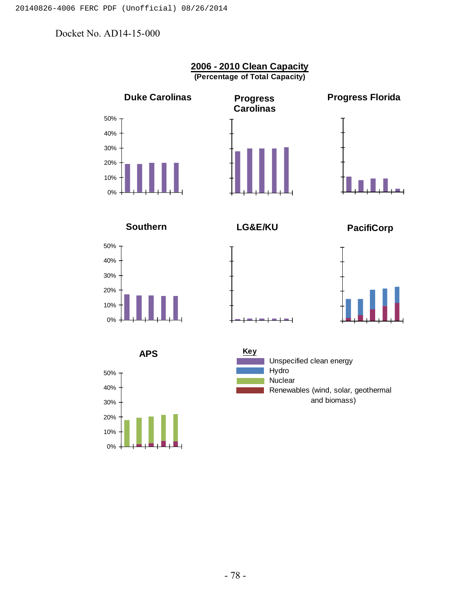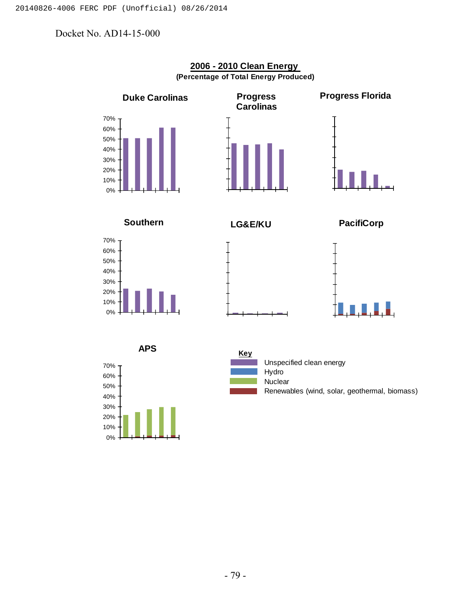0% 10%



#### **2006 - 2010 Clean Energy (Percentage of Total Energy Produced)**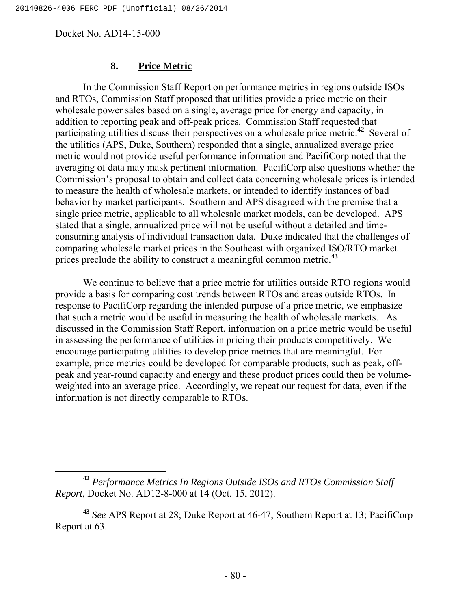#### **8. Price Metric**

In the Commission Staff Report on performance metrics in regions outside ISOs and RTOs, Commission Staff proposed that utilities provide a price metric on their wholesale power sales based on a single, average price for energy and capacity, in addition to reporting peak and off-peak prices. Commission Staff requested that participating utilities discuss their perspectives on a wholesale price metric.**<sup>42</sup>** Several of the utilities (APS, Duke, Southern) responded that a single, annualized average price metric would not provide useful performance information and PacifiCorp noted that the averaging of data may mask pertinent information. PacifiCorp also questions whether the Commission's proposal to obtain and collect data concerning wholesale prices is intended to measure the health of wholesale markets, or intended to identify instances of bad behavior by market participants. Southern and APS disagreed with the premise that a single price metric, applicable to all wholesale market models, can be developed. APS stated that a single, annualized price will not be useful without a detailed and timeconsuming analysis of individual transaction data. Duke indicated that the challenges of comparing wholesale market prices in the Southeast with organized ISO/RTO market prices preclude the ability to construct a meaningful common metric.**<sup>43</sup>**

We continue to believe that a price metric for utilities outside RTO regions would provide a basis for comparing cost trends between RTOs and areas outside RTOs. In response to PacifiCorp regarding the intended purpose of a price metric, we emphasize that such a metric would be useful in measuring the health of wholesale markets. As discussed in the Commission Staff Report, information on a price metric would be useful in assessing the performance of utilities in pricing their products competitively. We encourage participating utilities to develop price metrics that are meaningful. For example, price metrics could be developed for comparable products, such as peak, offpeak and year-round capacity and energy and these product prices could then be volumeweighted into an average price. Accordingly, we repeat our request for data, even if the information is not directly comparable to RTOs.

**<sup>42</sup>** *Performance Metrics In Regions Outside ISOs and RTOs Commission Staff Report*, Docket No. AD12-8-000 at 14 (Oct. 15, 2012).

**<sup>43</sup>** *See* APS Report at 28; Duke Report at 46-47; Southern Report at 13; PacifiCorp Report at 63.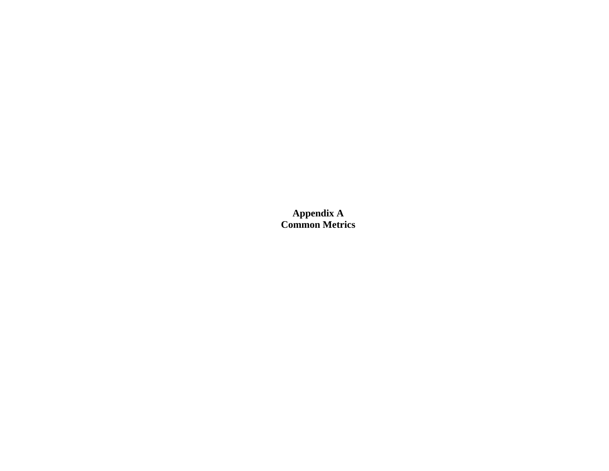**Appendix A Common Metrics**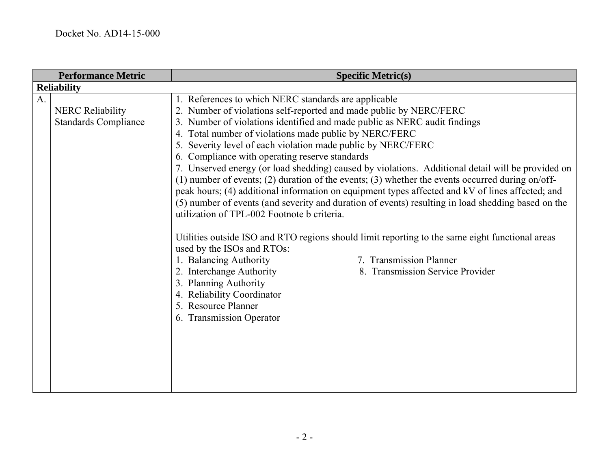| <b>Performance Metric</b>                              | <b>Specific Metric(s)</b>                                                                                                                                                                                                                                                                                                                                                                                                                                                                                                                                                                                                                                                                                                                                                                                                                                                                                                                                                                                                                                                                                                                                                                                             |
|--------------------------------------------------------|-----------------------------------------------------------------------------------------------------------------------------------------------------------------------------------------------------------------------------------------------------------------------------------------------------------------------------------------------------------------------------------------------------------------------------------------------------------------------------------------------------------------------------------------------------------------------------------------------------------------------------------------------------------------------------------------------------------------------------------------------------------------------------------------------------------------------------------------------------------------------------------------------------------------------------------------------------------------------------------------------------------------------------------------------------------------------------------------------------------------------------------------------------------------------------------------------------------------------|
| <b>Reliability</b>                                     |                                                                                                                                                                                                                                                                                                                                                                                                                                                                                                                                                                                                                                                                                                                                                                                                                                                                                                                                                                                                                                                                                                                                                                                                                       |
| <b>NERC Reliability</b><br><b>Standards Compliance</b> | 1. References to which NERC standards are applicable<br>2. Number of violations self-reported and made public by NERC/FERC<br>3. Number of violations identified and made public as NERC audit findings<br>4. Total number of violations made public by NERC/FERC<br>5. Severity level of each violation made public by NERC/FERC<br>6. Compliance with operating reserve standards<br>7. Unserved energy (or load shedding) caused by violations. Additional detail will be provided on<br>(1) number of events; (2) duration of the events; (3) whether the events occurred during on/off-<br>peak hours; (4) additional information on equipment types affected and kV of lines affected; and<br>(5) number of events (and severity and duration of events) resulting in load shedding based on the<br>utilization of TPL-002 Footnote b criteria.<br>Utilities outside ISO and RTO regions should limit reporting to the same eight functional areas<br>used by the ISOs and RTOs:<br>1. Balancing Authority<br>7. Transmission Planner<br>2. Interchange Authority<br>8. Transmission Service Provider<br>3. Planning Authority<br>4. Reliability Coordinator<br>5. Resource Planner<br>6. Transmission Operator |
|                                                        |                                                                                                                                                                                                                                                                                                                                                                                                                                                                                                                                                                                                                                                                                                                                                                                                                                                                                                                                                                                                                                                                                                                                                                                                                       |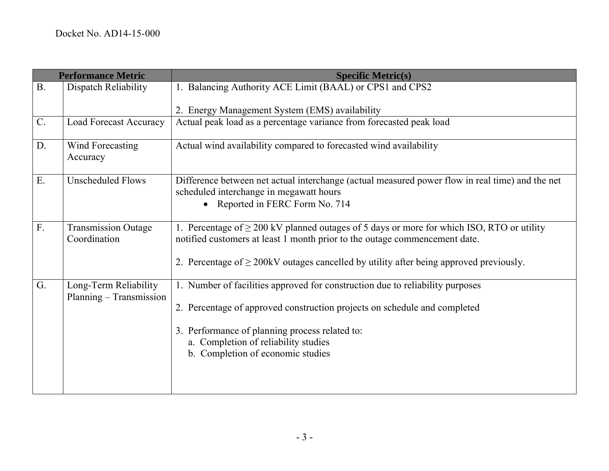| <b>Performance Metric</b> |                               | <b>Specific Metric(s)</b>                                                                       |
|---------------------------|-------------------------------|-------------------------------------------------------------------------------------------------|
| B.                        | Dispatch Reliability          | 1. Balancing Authority ACE Limit (BAAL) or CPS1 and CPS2                                        |
|                           |                               | 2. Energy Management System (EMS) availability                                                  |
| $C$ .                     | <b>Load Forecast Accuracy</b> | Actual peak load as a percentage variance from forecasted peak load                             |
|                           |                               |                                                                                                 |
| D.                        | Wind Forecasting              | Actual wind availability compared to forecasted wind availability                               |
|                           | Accuracy                      |                                                                                                 |
| E.                        | <b>Unscheduled Flows</b>      | Difference between net actual interchange (actual measured power flow in real time) and the net |
|                           |                               | scheduled interchange in megawatt hours                                                         |
|                           |                               | • Reported in FERC Form No. 714                                                                 |
| F.                        | <b>Transmission Outage</b>    | 1. Percentage of $\geq$ 200 kV planned outages of 5 days or more for which ISO, RTO or utility  |
|                           | Coordination                  | notified customers at least 1 month prior to the outage commencement date.                      |
|                           |                               |                                                                                                 |
|                           |                               | 2. Percentage of $\geq$ 200kV outages cancelled by utility after being approved previously.     |
| G.                        | Long-Term Reliability         | 1. Number of facilities approved for construction due to reliability purposes                   |
|                           | Planning - Transmission       |                                                                                                 |
|                           |                               | 2. Percentage of approved construction projects on schedule and completed                       |
|                           |                               | 3. Performance of planning process related to:                                                  |
|                           |                               | a. Completion of reliability studies                                                            |
|                           |                               | b. Completion of economic studies                                                               |
|                           |                               |                                                                                                 |
|                           |                               |                                                                                                 |
|                           |                               |                                                                                                 |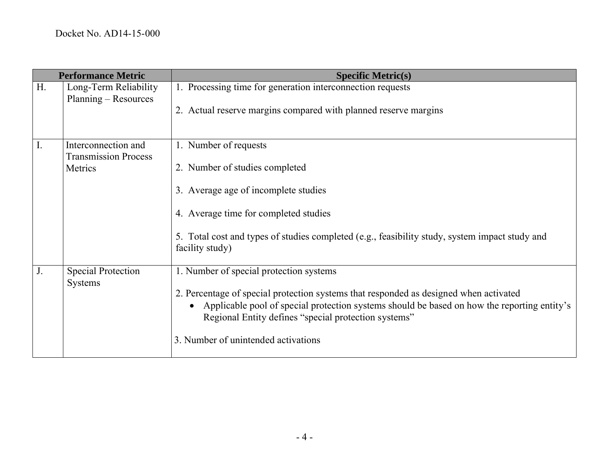|                | <b>Performance Metric</b>                                     | <b>Specific Metric(s)</b>                                                                                                                                                                                                                                                                                                      |
|----------------|---------------------------------------------------------------|--------------------------------------------------------------------------------------------------------------------------------------------------------------------------------------------------------------------------------------------------------------------------------------------------------------------------------|
| H <sub>r</sub> | Long-Term Reliability<br>Planning – Resources                 | 1. Processing time for generation interconnection requests<br>2. Actual reserve margins compared with planned reserve margins                                                                                                                                                                                                  |
| $\mathbf{I}$ . | Interconnection and<br><b>Transmission Process</b><br>Metrics | 1. Number of requests<br>2. Number of studies completed<br>3. Average age of incomplete studies<br>4. Average time for completed studies<br>5. Total cost and types of studies completed (e.g., feasibility study, system impact study and<br>facility study)                                                                  |
| J <sub>1</sub> | <b>Special Protection</b><br><b>Systems</b>                   | 1. Number of special protection systems<br>2. Percentage of special protection systems that responded as designed when activated<br>Applicable pool of special protection systems should be based on how the reporting entity's<br>Regional Entity defines "special protection systems"<br>3. Number of unintended activations |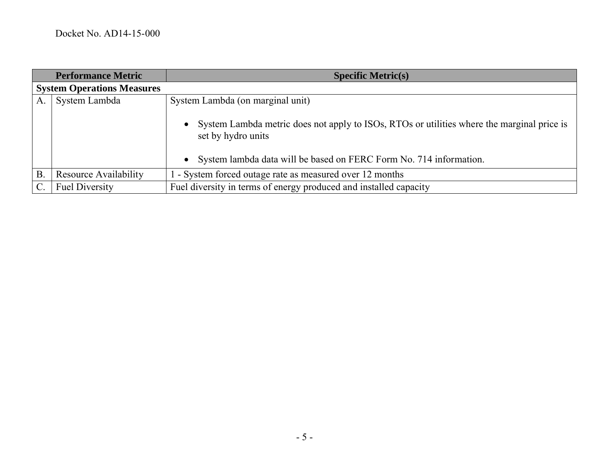|                                   | <b>Performance Metric</b>    | <b>Specific Metric(s)</b>                                                                                                                                                                             |
|-----------------------------------|------------------------------|-------------------------------------------------------------------------------------------------------------------------------------------------------------------------------------------------------|
| <b>System Operations Measures</b> |                              |                                                                                                                                                                                                       |
| A                                 | System Lambda                | System Lambda (on marginal unit)                                                                                                                                                                      |
|                                   |                              | System Lambda metric does not apply to ISOs, RTOs or utilities where the marginal price is<br>$\bullet$<br>set by hydro units<br>• System lambda data will be based on FERC Form No. 714 information. |
| $B$ .                             | <b>Resource Availability</b> | 1 - System forced outage rate as measured over 12 months                                                                                                                                              |
| $\mathcal{C}$ .                   | <b>Fuel Diversity</b>        | Fuel diversity in terms of energy produced and installed capacity                                                                                                                                     |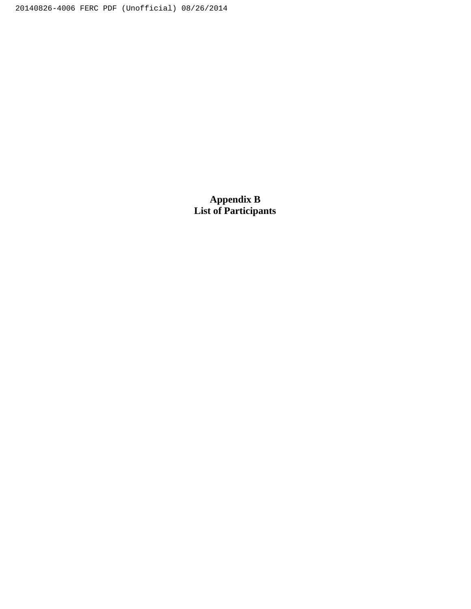20140826-4006 FERC PDF (Unofficial) 08/26/2014

**Appendix B List of Participants**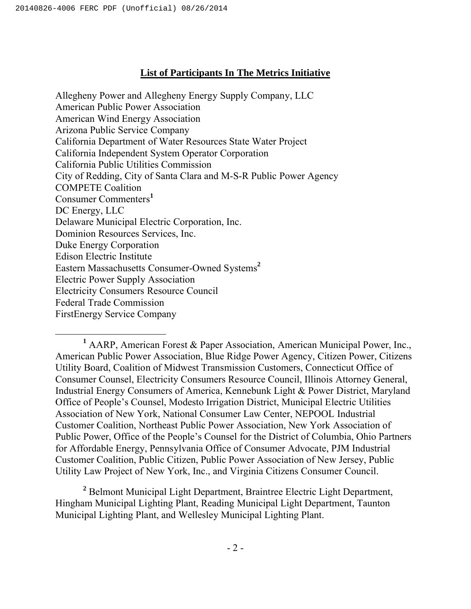# **List of Participants In The Metrics Initiative**

Allegheny Power and Allegheny Energy Supply Company, LLC American Public Power Association American Wind Energy Association Arizona Public Service Company California Department of Water Resources State Water Project California Independent System Operator Corporation California Public Utilities Commission City of Redding, City of Santa Clara and M-S-R Public Power Agency COMPETE Coalition Consumer Commenters**<sup>1</sup>** DC Energy, LLC Delaware Municipal Electric Corporation, Inc. Dominion Resources Services, Inc. Duke Energy Corporation Edison Electric Institute Eastern Massachusetts Consumer-Owned Systems**<sup>2</sup>** Electric Power Supply Association Electricity Consumers Resource Council Federal Trade Commission FirstEnergy Service Company

**<sup>2</sup>** Belmont Municipal Light Department, Braintree Electric Light Department, Hingham Municipal Lighting Plant, Reading Municipal Light Department, Taunton Municipal Lighting Plant, and Wellesley Municipal Lighting Plant.

**<sup>1</sup>** AARP, American Forest & Paper Association, American Municipal Power, Inc., American Public Power Association, Blue Ridge Power Agency, Citizen Power, Citizens Utility Board, Coalition of Midwest Transmission Customers, Connecticut Office of Consumer Counsel, Electricity Consumers Resource Council, Illinois Attorney General, Industrial Energy Consumers of America, Kennebunk Light & Power District, Maryland Office of People's Counsel, Modesto Irrigation District, Municipal Electric Utilities Association of New York, National Consumer Law Center, NEPOOL Industrial Customer Coalition, Northeast Public Power Association, New York Association of Public Power, Office of the People's Counsel for the District of Columbia, Ohio Partners for Affordable Energy, Pennsylvania Office of Consumer Advocate, PJM Industrial Customer Coalition, Public Citizen, Public Power Association of New Jersey, Public Utility Law Project of New York, Inc., and Virginia Citizens Consumer Council.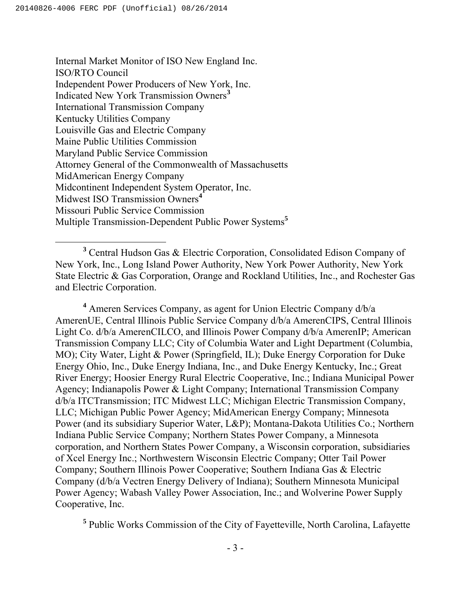Internal Market Monitor of ISO New England Inc. ISO/RTO Council Independent Power Producers of New York, Inc. Indicated New York Transmission Owners**<sup>3</sup>** International Transmission Company Kentucky Utilities Company Louisville Gas and Electric Company Maine Public Utilities Commission Maryland Public Service Commission Attorney General of the Commonwealth of Massachusetts MidAmerican Energy Company Midcontinent Independent System Operator, Inc. Midwest ISO Transmission Owners**<sup>4</sup>** Missouri Public Service Commission Multiple Transmission-Dependent Public Power Systems**<sup>5</sup>**

 **<sup>3</sup>** Central Hudson Gas & Electric Corporation, Consolidated Edison Company of New York, Inc., Long Island Power Authority, New York Power Authority, New York State Electric & Gas Corporation, Orange and Rockland Utilities, Inc., and Rochester Gas and Electric Corporation.

**<sup>4</sup>** Ameren Services Company, as agent for Union Electric Company d/b/a AmerenUE, Central Illinois Public Service Company d/b/a AmerenCIPS, Central Illinois Light Co. d/b/a AmerenCILCO, and Illinois Power Company d/b/a AmerenIP; American Transmission Company LLC; City of Columbia Water and Light Department (Columbia, MO); City Water, Light & Power (Springfield, IL); Duke Energy Corporation for Duke Energy Ohio, Inc., Duke Energy Indiana, Inc., and Duke Energy Kentucky, Inc.; Great River Energy; Hoosier Energy Rural Electric Cooperative, Inc.; Indiana Municipal Power Agency; Indianapolis Power & Light Company; International Transmission Company d/b/a ITCTransmission; ITC Midwest LLC; Michigan Electric Transmission Company, LLC; Michigan Public Power Agency; MidAmerican Energy Company; Minnesota Power (and its subsidiary Superior Water, L&P); Montana-Dakota Utilities Co.; Northern Indiana Public Service Company; Northern States Power Company, a Minnesota corporation, and Northern States Power Company, a Wisconsin corporation, subsidiaries of Xcel Energy Inc.; Northwestern Wisconsin Electric Company; Otter Tail Power Company; Southern Illinois Power Cooperative; Southern Indiana Gas & Electric Company (d/b/a Vectren Energy Delivery of Indiana); Southern Minnesota Municipal Power Agency; Wabash Valley Power Association, Inc.; and Wolverine Power Supply Cooperative, Inc.

**<sup>5</sup>** Public Works Commission of the City of Fayetteville, North Carolina, Lafayette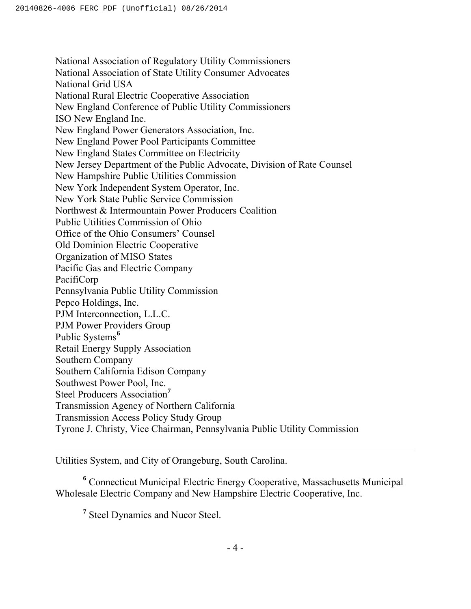National Association of Regulatory Utility Commissioners National Association of State Utility Consumer Advocates National Grid USA National Rural Electric Cooperative Association New England Conference of Public Utility Commissioners ISO New England Inc. New England Power Generators Association, Inc. New England Power Pool Participants Committee New England States Committee on Electricity New Jersey Department of the Public Advocate, Division of Rate Counsel New Hampshire Public Utilities Commission New York Independent System Operator, Inc. New York State Public Service Commission Northwest & Intermountain Power Producers Coalition Public Utilities Commission of Ohio Office of the Ohio Consumers' Counsel Old Dominion Electric Cooperative Organization of MISO States Pacific Gas and Electric Company PacifiCorp Pennsylvania Public Utility Commission Pepco Holdings, Inc. PJM Interconnection, L.L.C. PJM Power Providers Group Public Systems<sup>6</sup> Retail Energy Supply Association Southern Company Southern California Edison Company Southwest Power Pool, Inc. Steel Producers Association**<sup>7</sup>** Transmission Agency of Northern California Transmission Access Policy Study Group Tyrone J. Christy, Vice Chairman, Pennsylvania Public Utility Commission

Utilities System, and City of Orangeburg, South Carolina.

**<sup>6</sup>** Connecticut Municipal Electric Energy Cooperative, Massachusetts Municipal Wholesale Electric Company and New Hampshire Electric Cooperative, Inc.

**<sup>7</sup>** Steel Dynamics and Nucor Steel.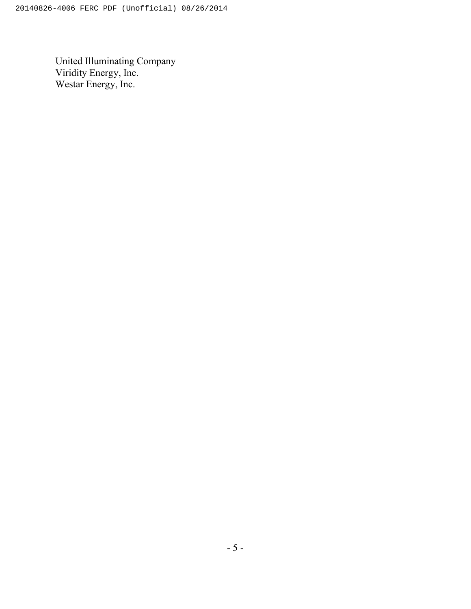United Illuminating Company Viridity Energy, Inc. Westar Energy, Inc.